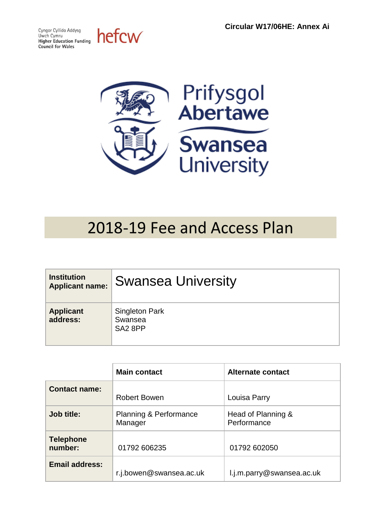Cyngor Cyllido Addysg Uwch Cymru<br>Higher Education Funding **Council for Wales** 

hefcw



# 2018-19 Fee and Access Plan

| <b>Institution</b><br><b>Applicant name:</b> | <b>Swansea University</b>                               |
|----------------------------------------------|---------------------------------------------------------|
| <b>Applicant</b><br>address:                 | <b>Singleton Park</b><br>Swansea<br>SA <sub>2</sub> 8PP |

|                             | <b>Main contact</b>                          | <b>Alternate contact</b>          |
|-----------------------------|----------------------------------------------|-----------------------------------|
| <b>Contact name:</b>        | <b>Robert Bowen</b>                          | Louisa Parry                      |
| Job title:                  | <b>Planning &amp; Performance</b><br>Manager | Head of Planning &<br>Performance |
| <b>Telephone</b><br>number: | 01792 606235                                 | 01792 602050                      |
| <b>Email address:</b>       | r.j.bowen@swansea.ac.uk                      | l.j.m.parry@swansea.ac.uk         |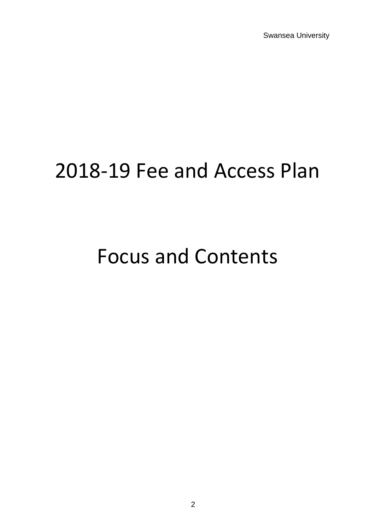Swansea University

# 2018-19 Fee and Access Plan

# Focus and Contents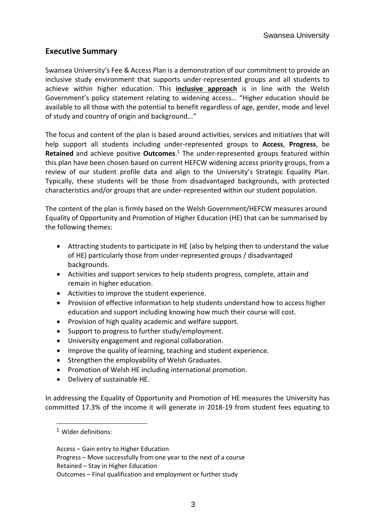## **Executive Summary**

Swansea University's Fee & Access Plan is a demonstration of our commitment to provide an inclusive study environment that supports under-represented groups and all students to achieve within higher education. This **inclusive approach** is in line with the Welsh Government's policy statement relating to widening access… "Higher education should be available to all those with the potential to benefit regardless of age, gender, mode and level of study and country of origin and background..."

The focus and content of the plan is based around activities, services and initiatives that will help support all students including under-represented groups to **Access**, **Progress**, be **Retained** and achieve positive **Outcomes**. <sup>1</sup> The under-represented groups featured within this plan have been chosen based on current HEFCW widening access priority groups, from a review of our student profile data and align to the University's Strategic Equality Plan. Typically, these students will be those from disadvantaged backgrounds, with protected characteristics and/or groups that are under-represented within our student population.

The content of the plan is firmly based on the Welsh Government/HEFCW measures around Equality of Opportunity and Promotion of Higher Education (HE) that can be summarised by the following themes:

- Attracting students to participate in HE (also by helping then to understand the value of HE) particularly those from under-represented groups / disadvantaged backgrounds.
- Activities and support services to help students progress, complete, attain and remain in higher education.
- Activities to improve the student experience.
- Provision of effective information to help students understand how to access higher education and support including knowing how much their course will cost.
- Provision of high quality academic and welfare support.
- Support to progress to further study/employment.
- University engagement and regional collaboration.
- Improve the quality of learning, teaching and student experience.
- Strengthen the employability of Welsh Graduates.
- Promotion of Welsh HE including international promotion.
- Delivery of sustainable HE.

In addressing the Equality of Opportunity and Promotion of HE measures the University has committed 17.3% of the income it will generate in 2018-19 from student fees equating to

l

<sup>1</sup> Wider definitions:

Access – Gain entry to Higher Education

Progress – Move successfully from one year to the next of a course

Retained – Stay in Higher Education

Outcomes – Final qualification and employment or further study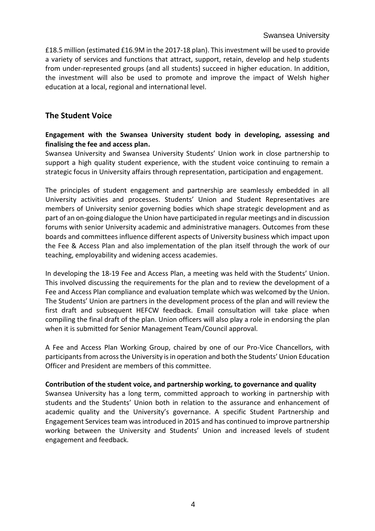£18.5 million (estimated £16.9M in the 2017-18 plan). This investment will be used to provide a variety of services and functions that attract, support, retain, develop and help students from under-represented groups (and all students) succeed in higher education. In addition, the investment will also be used to promote and improve the impact of Welsh higher education at a local, regional and international level.

## **The Student Voice**

#### **Engagement with the Swansea University student body in developing, assessing and finalising the fee and access plan.**

Swansea University and Swansea University Students' Union work in close partnership to support a high quality student experience, with the student voice continuing to remain a strategic focus in University affairs through representation, participation and engagement.

The principles of student engagement and partnership are seamlessly embedded in all University activities and processes. Students' Union and Student Representatives are members of University senior governing bodies which shape strategic development and as part of an on-going dialogue the Union have participated in regular meetings and in discussion forums with senior University academic and administrative managers. Outcomes from these boards and committees influence different aspects of University business which impact upon the Fee & Access Plan and also implementation of the plan itself through the work of our teaching, employability and widening access academies.

In developing the 18-19 Fee and Access Plan, a meeting was held with the Students' Union. This involved discussing the requirements for the plan and to review the development of a Fee and Access Plan compliance and evaluation template which was welcomed by the Union. The Students' Union are partners in the development process of the plan and will review the first draft and subsequent HEFCW feedback. Email consultation will take place when compiling the final draft of the plan. Union officers will also play a role in endorsing the plan when it is submitted for Senior Management Team/Council approval.

A Fee and Access Plan Working Group, chaired by one of our Pro-Vice Chancellors, with participants from across the University is in operation and both the Students' Union Education Officer and President are members of this committee.

#### **Contribution of the student voice, and partnership working, to governance and quality**

Swansea University has a long term, committed approach to working in partnership with students and the Students' Union both in relation to the assurance and enhancement of academic quality and the University's governance. A specific Student Partnership and Engagement Services team was introduced in 2015 and has continued to improve partnership working between the University and Students' Union and increased levels of student engagement and feedback.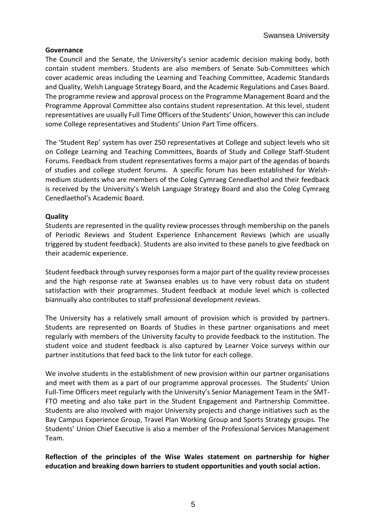#### **Governance**

The Council and the Senate, the University's senior academic decision making body, both contain student members. Students are also members of Senate Sub-Committees which cover academic areas including the Learning and Teaching Committee, Academic Standards and Quality, Welsh Language Strategy Board, and the Academic Regulations and Cases Board. The programme review and approval process on the Programme Management Board and the Programme Approval Committee also contains student representation. At this level, student representatives are usually Full Time Officers of the Students' Union, however this can include some College representatives and Students' Union Part Time officers.

The 'Student Rep' system has over 250 representatives at College and subject levels who sit on College Learning and Teaching Committees, Boards of Study and College Staff-Student Forums. Feedback from student representatives forms a major part of the agendas of boards of studies and college student forums. A specific forum has been established for Welshmedium students who are members of the Coleg Cymraeg Cenedlaethol and their feedback is received by the University's Welsh Language Strategy Board and also the Coleg Cymraeg Cenedlaethol's Academic Board.

#### **Quality**

Students are represented in the quality review processes through membership on the panels of Periodic Reviews and Student Experience Enhancement Reviews (which are usually triggered by student feedback). Students are also invited to these panels to give feedback on their academic experience.

Student feedback through survey responses form a major part of the quality review processes and the high response rate at Swansea enables us to have very robust data on student satisfaction with their programmes. Student feedback at module level which is collected biannually also contributes to staff professional development reviews.

The University has a relatively small amount of provision which is provided by partners. Students are represented on Boards of Studies in these partner organisations and meet regularly with members of the University faculty to provide feedback to the institution. The student voice and student feedback is also captured by Learner Voice surveys within our partner institutions that feed back to the link tutor for each college.

We involve students in the establishment of new provision within our partner organisations and meet with them as a part of our programme approval processes. The Students' Union Full-Time Officers meet regularly with the University's Senior Management Team in the SMT-FTO meeting and also take part in the Student Engagement and Partnership Committee. Students are also involved with major University projects and change initiatives such as the Bay Campus Experience Group, Travel Plan Working Group and Sports Strategy groups. The Students' Union Chief Executive is also a member of the Professional Services Management Team.

**Reflection of the principles of the Wise Wales statement on partnership for higher education and breaking down barriers to student opportunities and youth social action.**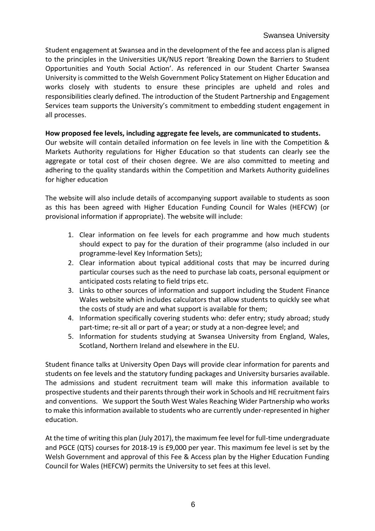Student engagement at Swansea and in the development of the fee and access plan is aligned to the principles in the Universities UK/NUS report 'Breaking Down the Barriers to Student Opportunities and Youth Social Action'. As referenced in our Student Charter Swansea University is committed to the Welsh Government Policy Statement on Higher Education and works closely with students to ensure these principles are upheld and roles and responsibilities clearly defined. The introduction of the Student Partnership and Engagement Services team supports the University's commitment to embedding student engagement in all processes.

#### **How proposed fee levels, including aggregate fee levels, are communicated to students.**

Our website will contain detailed information on fee levels in line with the Competition & Markets Authority regulations for Higher Education so that students can clearly see the aggregate or total cost of their chosen degree. We are also committed to meeting and adhering to the quality standards within the Competition and Markets Authority guidelines for higher education

The website will also include details of accompanying support available to students as soon as this has been agreed with Higher Education Funding Council for Wales (HEFCW) (or provisional information if appropriate). The website will include:

- 1. Clear information on fee levels for each programme and how much students should expect to pay for the duration of their programme (also included in our programme-level Key Information Sets);
- 2. Clear information about typical additional costs that may be incurred during particular courses such as the need to purchase lab coats, personal equipment or anticipated costs relating to field trips etc.
- 3. Links to other sources of information and support including the Student Finance Wales website which includes calculators that allow students to quickly see what the costs of study are and what support is available for them;
- 4. Information specifically covering students who: defer entry; study abroad; study part-time; re-sit all or part of a year; or study at a non-degree level; and
- 5. Information for students studying at Swansea University from England, Wales, Scotland, Northern Ireland and elsewhere in the EU.

Student finance talks at University Open Days will provide clear information for parents and students on fee levels and the statutory funding packages and University bursaries available. The admissions and student recruitment team will make this information available to prospective students and their parents through their work in Schools and HE recruitment fairs and conventions. We support the South West Wales Reaching Wider Partnership who works to make this information available to students who are currently under-represented in higher education.

At the time of writing this plan (July 2017), the maximum fee level for full-time undergraduate and PGCE (QTS) courses for 2018-19 is £9,000 per year. This maximum fee level is set by the Welsh Government and approval of this Fee & Access plan by the Higher Education Funding Council for Wales (HEFCW) permits the University to set fees at this level.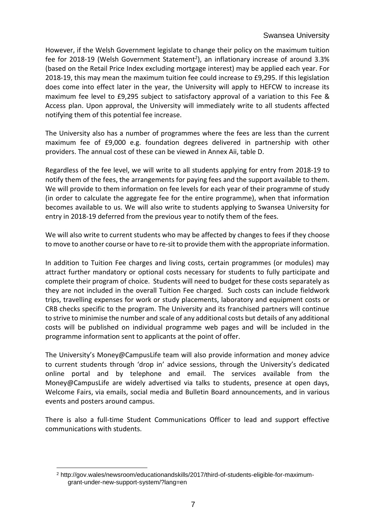#### Swansea University

However, if the Welsh Government legislate to change their policy on the maximum tuition fee for 2018-19 (Welsh Government Statement<sup>2</sup>), an inflationary increase of around 3.3% (based on the Retail Price Index excluding mortgage interest) may be applied each year. For 2018-19, this may mean the maximum tuition fee could increase to £9,295. If this legislation does come into effect later in the year, the University will apply to HEFCW to increase its maximum fee level to £9,295 subject to satisfactory approval of a variation to this Fee & Access plan. Upon approval, the University will immediately write to all students affected notifying them of this potential fee increase.

The University also has a number of programmes where the fees are less than the current maximum fee of £9,000 e.g. foundation degrees delivered in partnership with other providers. The annual cost of these can be viewed in Annex Aii, table D.

Regardless of the fee level, we will write to all students applying for entry from 2018-19 to notify them of the fees, the arrangements for paying fees and the support available to them. We will provide to them information on fee levels for each year of their programme of study (in order to calculate the aggregate fee for the entire programme), when that information becomes available to us. We will also write to students applying to Swansea University for entry in 2018-19 deferred from the previous year to notify them of the fees.

We will also write to current students who may be affected by changes to fees if they choose to move to another course or have to re-sit to provide them with the appropriate information.

In addition to Tuition Fee charges and living costs, certain programmes (or modules) may attract further mandatory or optional costs necessary for students to fully participate and complete their program of choice. Students will need to budget for these costs separately as they are not included in the overall Tuition Fee charged. Such costs can include fieldwork trips, travelling expenses for work or study placements, laboratory and equipment costs or CRB checks specific to the program. The University and its franchised partners will continue to strive to minimise the number and scale of any additional costs but details of any additional costs will be published on individual programme web pages and will be included in the programme information sent to applicants at the point of offer.

The University's Money@CampusLife team will also provide information and money advice to current students through 'drop in' advice sessions, through the University's dedicated online portal and by telephone and email. The services available from the Money@CampusLife are widely advertised via talks to students, presence at open days, Welcome Fairs, via emails, social media and Bulletin Board announcements, and in various events and posters around campus.

There is also a full-time Student Communications Officer to lead and support effective communications with students.

l <sup>2</sup> http://gov.wales/newsroom/educationandskills/2017/third-of-students-eligible-for-maximumgrant-under-new-support-system/?lang=en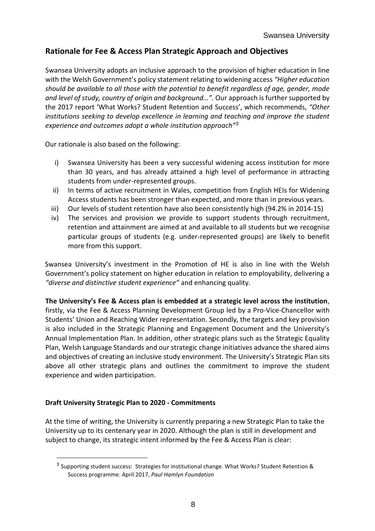## **Rationale for Fee & Access Plan Strategic Approach and Objectives**

Swansea University adopts an inclusive approach to the provision of higher education in line with the Welsh Government's policy statement relating to widening access *"Higher education should be available to all those with the potential to benefit regardless of age, gender, mode and level of study, country of origin and background…".* Our approach is further supported by the 2017 report 'What Works? Student Retention and Success', which recommends, *"Other institutions seeking to develop excellence in learning and teaching and improve the student experience and outcomes adopt a whole institution approach"*<sup>3</sup>

Our rationale is also based on the following:

- i) Swansea University has been a very successful widening access institution for more than 30 years, and has already attained a high level of performance in attracting students from under-represented groups.
- ii) In terms of active recruitment in Wales, competition from English HEIs for Widening Access students has been stronger than expected, and more than in previous years.
- iii) Our levels of student retention have also been consistently high (94.2% in 2014-15)
- iv) The services and provision we provide to support students through recruitment, retention and attainment are aimed at and available to all students but we recognise particular groups of students (e.g. under-represented groups) are likely to benefit more from this support.

Swansea University's investment in the Promotion of HE is also in line with the Welsh Government's policy statement on higher education in relation to employability, delivering a *"diverse and distinctive student experience"* and enhancing quality.

**The University's Fee & Access plan is embedded at a strategic level across the institution**, firstly, via the Fee & Access Planning Development Group led by a Pro-Vice-Chancellor with Students' Union and Reaching Wider representation. Secondly, the targets and key provision is also included in the Strategic Planning and Engagement Document and the University's Annual Implementation Plan. In addition, other strategic plans such as the Strategic Equality Plan, Welsh Language Standards and our strategic change initiatives advance the shared aims and objectives of creating an inclusive study environment. The University's Strategic Plan sits above all other strategic plans and outlines the commitment to improve the student experience and widen participation.

#### **Draft University Strategic Plan to 2020 - Commitments**

l

At the time of writing, the University is currently preparing a new Strategic Plan to take the University up to its centenary year in 2020. Although the plan is still in development and subject to change, its strategic intent informed by the Fee & Access Plan is clear:

<sup>&</sup>lt;sup>3</sup> Supporting student success: Strategies for institutional change. What Works? Student Retention & Success programme. April 2017, *Paul Hamlyn Foundation*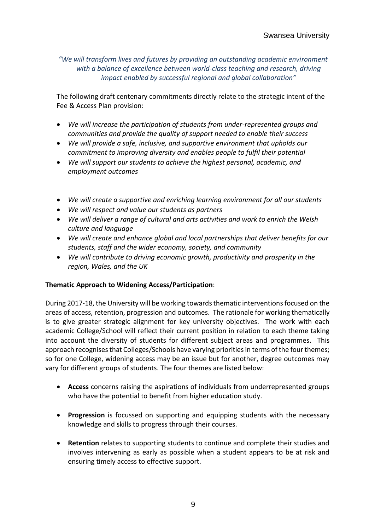*"We will transform lives and futures by providing an outstanding academic environment with a balance of excellence between world-class teaching and research, driving impact enabled by successful regional and global collaboration"*

The following draft centenary commitments directly relate to the strategic intent of the Fee & Access Plan provision:

- *We will increase the participation of students from under-represented groups and communities and provide the quality of support needed to enable their success*
- *We will provide a safe, inclusive, and supportive environment that upholds our commitment to improving diversity and enables people to fulfil their potential*
- *We will support our students to achieve the highest personal, academic, and employment outcomes*
- *We will create a supportive and enriching learning environment for all our students*
- *We will respect and value our students as partners*
- *We will deliver a range of cultural and arts activities and work to enrich the Welsh culture and language*
- *We will create and enhance global and local partnerships that deliver benefits for our students, staff and the wider economy, society, and community*
- *We will contribute to driving economic growth, productivity and prosperity in the region, Wales, and the UK*

#### **Thematic Approach to Widening Access/Participation**:

During 2017-18, the University will be working towards thematic interventions focused on the areas of access, retention, progression and outcomes. The rationale for working thematically is to give greater strategic alignment for key university objectives. The work with each academic College/School will reflect their current position in relation to each theme taking into account the diversity of students for different subject areas and programmes. This approach recognises that Colleges/Schools have varying priorities in terms of the four themes; so for one College, widening access may be an issue but for another, degree outcomes may vary for different groups of students. The four themes are listed below:

- **Access** concerns raising the aspirations of individuals from underrepresented groups who have the potential to benefit from higher education study.
- **Progression** is focussed on supporting and equipping students with the necessary knowledge and skills to progress through their courses.
- **Retention** relates to supporting students to continue and complete their studies and involves intervening as early as possible when a student appears to be at risk and ensuring timely access to effective support.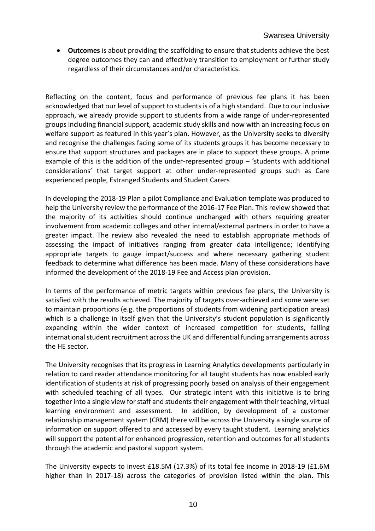**Outcomes** is about providing the scaffolding to ensure that students achieve the best degree outcomes they can and effectively transition to employment or further study regardless of their circumstances and/or characteristics.

Reflecting on the content, focus and performance of previous fee plans it has been acknowledged that our level of support to students is of a high standard. Due to our inclusive approach, we already provide support to students from a wide range of under-represented groups including financial support, academic study skills and now with an increasing focus on welfare support as featured in this year's plan. However, as the University seeks to diversify and recognise the challenges facing some of its students groups it has become necessary to ensure that support structures and packages are in place to support these groups. A prime example of this is the addition of the under-represented group – 'students with additional considerations' that target support at other under-represented groups such as Care experienced people, Estranged Students and Student Carers

In developing the 2018-19 Plan a pilot Compliance and Evaluation template was produced to help the University review the performance of the 2016-17 Fee Plan. This review showed that the majority of its activities should continue unchanged with others requiring greater involvement from academic colleges and other internal/external partners in order to have a greater impact. The review also revealed the need to establish appropriate methods of assessing the impact of initiatives ranging from greater data intelligence; identifying appropriate targets to gauge impact/success and where necessary gathering student feedback to determine what difference has been made. Many of these considerations have informed the development of the 2018-19 Fee and Access plan provision.

In terms of the performance of metric targets within previous fee plans, the University is satisfied with the results achieved. The majority of targets over-achieved and some were set to maintain proportions (e.g. the proportions of students from widening participation areas) which is a challenge in itself given that the University's student population is significantly expanding within the wider context of increased competition for students, falling international student recruitment across the UK and differential funding arrangements across the HE sector.

The University recognises that its progress in Learning Analytics developments particularly in relation to card reader attendance monitoring for all taught students has now enabled early identification of students at risk of progressing poorly based on analysis of their engagement with scheduled teaching of all types. Our strategic intent with this initiative is to bring together into a single view for staff and students their engagement with their teaching, virtual learning environment and assessment. In addition, by development of a customer relationship management system (CRM) there will be across the University a single source of information on support offered to and accessed by every taught student. Learning analytics will support the potential for enhanced progression, retention and outcomes for all students through the academic and pastoral support system.

The University expects to invest £18.5M (17.3%) of its total fee income in 2018-19 (£1.6M higher than in 2017-18) across the categories of provision listed within the plan. This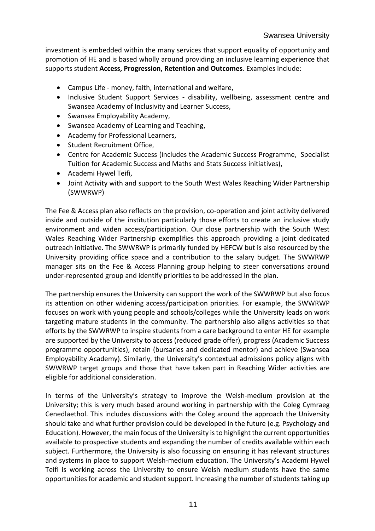investment is embedded within the many services that support equality of opportunity and promotion of HE and is based wholly around providing an inclusive learning experience that supports student **Access, Progression, Retention and Outcomes**. Examples include:

- Campus Life money, faith, international and welfare,
- Inclusive Student Support Services disability, wellbeing, assessment centre and Swansea Academy of Inclusivity and Learner Success,
- Swansea Employability Academy,
- Swansea Academy of Learning and Teaching,
- Academy for Professional Learners,
- Student Recruitment Office,
- Centre for Academic Success (includes the Academic Success Programme, Specialist Tuition for Academic Success and Maths and Stats Success initiatives),
- Academi Hywel Teifi,
- Joint Activity with and support to the South West Wales Reaching Wider Partnership (SWWRWP)

The Fee & Access plan also reflects on the provision, co-operation and joint activity delivered inside and outside of the institution particularly those efforts to create an inclusive study environment and widen access/participation. Our close partnership with the South West Wales Reaching Wider Partnership exemplifies this approach providing a joint dedicated outreach initiative. The SWWRWP is primarily funded by HEFCW but is also resourced by the University providing office space and a contribution to the salary budget. The SWWRWP manager sits on the Fee & Access Planning group helping to steer conversations around under-represented group and identify priorities to be addressed in the plan.

The partnership ensures the University can support the work of the SWWRWP but also focus its attention on other widening access/participation priorities. For example, the SWWRWP focuses on work with young people and schools/colleges while the University leads on work targeting mature students in the community. The partnership also aligns activities so that efforts by the SWWRWP to inspire students from a care background to enter HE for example are supported by the University to access (reduced grade offer), progress (Academic Success programme opportunities), retain (bursaries and dedicated mentor) and achieve (Swansea Employability Academy). Similarly, the University's contextual admissions policy aligns with SWWRWP target groups and those that have taken part in Reaching Wider activities are eligible for additional consideration.

In terms of the University's strategy to improve the Welsh-medium provision at the University; this is very much based around working in partnership with the Coleg Cymraeg Cenedlaethol. This includes discussions with the Coleg around the approach the University should take and what further provision could be developed in the future (e.g. Psychology and Education). However, the main focus of the University is to highlight the current opportunities available to prospective students and expanding the number of credits available within each subject. Furthermore, the University is also focussing on ensuring it has relevant structures and systems in place to support Welsh-medium education. The University's Academi Hywel Teifi is working across the University to ensure Welsh medium students have the same opportunities for academic and student support. Increasing the number of students taking up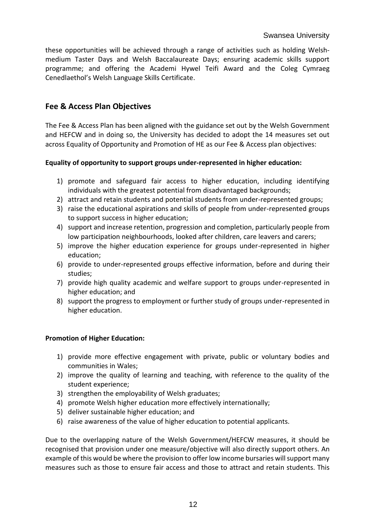these opportunities will be achieved through a range of activities such as holding Welshmedium Taster Days and Welsh Baccalaureate Days; ensuring academic skills support programme; and offering the Academi Hywel Teifi Award and the Coleg Cymraeg Cenedlaethol's Welsh Language Skills Certificate.

## **Fee & Access Plan Objectives**

The Fee & Access Plan has been aligned with the guidance set out by the Welsh Government and HEFCW and in doing so, the University has decided to adopt the 14 measures set out across Equality of Opportunity and Promotion of HE as our Fee & Access plan objectives:

#### **Equality of opportunity to support groups under-represented in higher education:**

- 1) promote and safeguard fair access to higher education, including identifying individuals with the greatest potential from disadvantaged backgrounds;
- 2) attract and retain students and potential students from under-represented groups;
- 3) raise the educational aspirations and skills of people from under-represented groups to support success in higher education;
- 4) support and increase retention, progression and completion, particularly people from low participation neighbourhoods, looked after children, care leavers and carers;
- 5) improve the higher education experience for groups under-represented in higher education;
- 6) provide to under-represented groups effective information, before and during their studies;
- 7) provide high quality academic and welfare support to groups under-represented in higher education; and
- 8) support the progress to employment or further study of groups under-represented in higher education.

#### **Promotion of Higher Education:**

- 1) provide more effective engagement with private, public or voluntary bodies and communities in Wales;
- 2) improve the quality of learning and teaching, with reference to the quality of the student experience;
- 3) strengthen the employability of Welsh graduates;
- 4) promote Welsh higher education more effectively internationally;
- 5) deliver sustainable higher education; and
- 6) raise awareness of the value of higher education to potential applicants.

Due to the overlapping nature of the Welsh Government/HEFCW measures, it should be recognised that provision under one measure/objective will also directly support others. An example of this would be where the provision to offer low income bursaries will support many measures such as those to ensure fair access and those to attract and retain students. This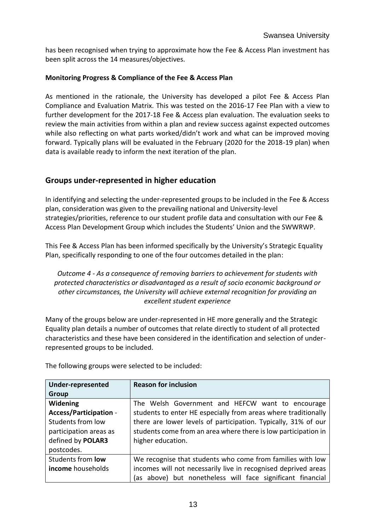has been recognised when trying to approximate how the Fee & Access Plan investment has been split across the 14 measures/objectives.

#### **Monitoring Progress & Compliance of the Fee & Access Plan**

As mentioned in the rationale, the University has developed a pilot Fee & Access Plan Compliance and Evaluation Matrix. This was tested on the 2016-17 Fee Plan with a view to further development for the 2017-18 Fee & Access plan evaluation. The evaluation seeks to review the main activities from within a plan and review success against expected outcomes while also reflecting on what parts worked/didn't work and what can be improved moving forward. Typically plans will be evaluated in the February (2020 for the 2018-19 plan) when data is available ready to inform the next iteration of the plan.

## **Groups under-represented in higher education**

In identifying and selecting the under-represented groups to be included in the Fee & Access plan, consideration was given to the prevailing national and University-level strategies/priorities, reference to our student profile data and consultation with our Fee & Access Plan Development Group which includes the Students' Union and the SWWRWP.

This Fee & Access Plan has been informed specifically by the University's Strategic Equality Plan, specifically responding to one of the four outcomes detailed in the plan:

*Outcome 4 - As a consequence of removing barriers to achievement for students with protected characteristics or disadvantaged as a result of socio economic background or other circumstances, the University will achieve external recognition for providing an excellent student experience*

Many of the groups below are under-represented in HE more generally and the Strategic Equality plan details a number of outcomes that relate directly to student of all protected characteristics and these have been considered in the identification and selection of underrepresented groups to be included.

| <b>Under-represented</b>                                                            | <b>Reason for inclusion</b>                                    |  |  |  |  |  |
|-------------------------------------------------------------------------------------|----------------------------------------------------------------|--|--|--|--|--|
| <b>Group</b>                                                                        |                                                                |  |  |  |  |  |
| Widening                                                                            | The Welsh Government and HEFCW want to encourage               |  |  |  |  |  |
| <b>Access/Participation -</b>                                                       | students to enter HE especially from areas where traditionally |  |  |  |  |  |
| Students from low<br>there are lower levels of participation. Typically, 31% of our |                                                                |  |  |  |  |  |
| participation areas as                                                              | students come from an area where there is low participation in |  |  |  |  |  |
| defined by POLAR3                                                                   | higher education.                                              |  |  |  |  |  |
| postcodes.                                                                          |                                                                |  |  |  |  |  |
| Students from <b>low</b>                                                            | We recognise that students who come from families with low     |  |  |  |  |  |
| income households                                                                   | incomes will not necessarily live in recognised deprived areas |  |  |  |  |  |
|                                                                                     | (as above) but nonetheless will face significant financial     |  |  |  |  |  |

The following groups were selected to be included: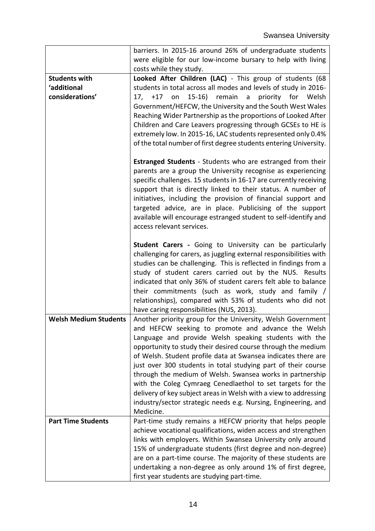| barriers. In 2015-16 around 26% of undergraduate students                                                                                |
|------------------------------------------------------------------------------------------------------------------------------------------|
| were eligible for our low-income bursary to help with living                                                                             |
| costs while they study.                                                                                                                  |
| Looked After Children (LAC) - This group of students (68<br><b>Students with</b>                                                         |
| 'additional<br>students in total across all modes and levels of study in 2016-                                                           |
| considerations'<br>15-16) remain a priority for Welsh<br>17, +17 on                                                                      |
| Government/HEFCW, the University and the South West Wales                                                                                |
| Reaching Wider Partnership as the proportions of Looked After                                                                            |
| Children and Care Leavers progressing through GCSEs to HE is                                                                             |
| extremely low. In 2015-16, LAC students represented only 0.4%                                                                            |
| of the total number of first degree students entering University.                                                                        |
| <b>Estranged Students</b> - Students who are estranged from their                                                                        |
| parents are a group the University recognise as experiencing                                                                             |
| specific challenges. 15 students in 16-17 are currently receiving                                                                        |
| support that is directly linked to their status. A number of                                                                             |
| initiatives, including the provision of financial support and                                                                            |
| targeted advice, are in place. Publicising of the support                                                                                |
| available will encourage estranged student to self-identify and<br>access relevant services.                                             |
|                                                                                                                                          |
| Student Carers - Going to University can be particularly                                                                                 |
| challenging for carers, as juggling external responsibilities with                                                                       |
| studies can be challenging. This is reflected in findings from a                                                                         |
| study of student carers carried out by the NUS. Results                                                                                  |
| indicated that only 36% of student carers felt able to balance                                                                           |
| their commitments (such as work, study and family /                                                                                      |
| relationships), compared with 53% of students who did not                                                                                |
| have caring responsibilities (NUS, 2013).<br><b>Welsh Medium Students</b><br>Another priority group for the University, Welsh Government |
| and HEFCW seeking to promote and advance the Welsh                                                                                       |
| Language and provide Welsh speaking students with the                                                                                    |
| opportunity to study their desired course through the medium                                                                             |
| of Welsh. Student profile data at Swansea indicates there are                                                                            |
| just over 300 students in total studying part of their course                                                                            |
| through the medium of Welsh. Swansea works in partnership                                                                                |
| with the Coleg Cymraeg Cenedlaethol to set targets for the                                                                               |
| delivery of key subject areas in Welsh with a view to addressing                                                                         |
| industry/sector strategic needs e.g. Nursing, Engineering, and                                                                           |
| Medicine.                                                                                                                                |
| <b>Part Time Students</b><br>Part-time study remains a HEFCW priority that helps people                                                  |
| achieve vocational qualifications, widen access and strengthen                                                                           |
|                                                                                                                                          |
| links with employers. Within Swansea University only around                                                                              |
| 15% of undergraduate students (first degree and non-degree)                                                                              |
| are on a part-time course. The majority of these students are<br>undertaking a non-degree as only around 1% of first degree,             |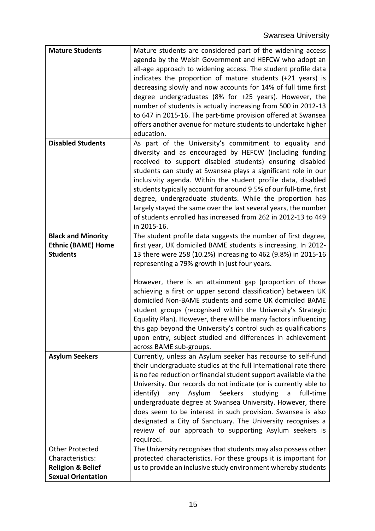| <b>Mature Students</b>       | Mature students are considered part of the widening access          |
|------------------------------|---------------------------------------------------------------------|
|                              | agenda by the Welsh Government and HEFCW who adopt an               |
|                              | all-age approach to widening access. The student profile data       |
|                              | indicates the proportion of mature students (+21 years) is          |
|                              | decreasing slowly and now accounts for 14% of full time first       |
|                              | degree undergraduates (8% for +25 years). However, the              |
|                              | number of students is actually increasing from 500 in 2012-13       |
|                              | to 647 in 2015-16. The part-time provision offered at Swansea       |
|                              | offers another avenue for mature students to undertake higher       |
|                              | education.                                                          |
| <b>Disabled Students</b>     | As part of the University's commitment to equality and              |
|                              | diversity and as encouraged by HEFCW (including funding             |
|                              |                                                                     |
|                              | received to support disabled students) ensuring disabled            |
|                              | students can study at Swansea plays a significant role in our       |
|                              | inclusivity agenda. Within the student profile data, disabled       |
|                              | students typically account for around 9.5% of our full-time, first  |
|                              | degree, undergraduate students. While the proportion has            |
|                              | largely stayed the same over the last several years, the number     |
|                              | of students enrolled has increased from 262 in 2012-13 to 449       |
|                              | in 2015-16.                                                         |
| <b>Black and Minority</b>    | The student profile data suggests the number of first degree,       |
| <b>Ethnic (BAME) Home</b>    | first year, UK domiciled BAME students is increasing. In 2012-      |
| <b>Students</b>              | 13 there were 258 (10.2%) increasing to 462 (9.8%) in 2015-16       |
|                              | representing a 79% growth in just four years.                       |
|                              |                                                                     |
|                              | However, there is an attainment gap (proportion of those            |
|                              | achieving a first or upper second classification) between UK        |
|                              | domiciled Non-BAME students and some UK domiciled BAME              |
|                              | student groups (recognised within the University's Strategic        |
|                              | Equality Plan). However, there will be many factors influencing     |
|                              | this gap beyond the University's control such as qualifications     |
|                              | upon entry, subject studied and differences in achievement          |
|                              | across BAME sub-groups.                                             |
| <b>Asylum Seekers</b>        | Currently, unless an Asylum seeker has recourse to self-fund        |
|                              | their undergraduate studies at the full international rate there    |
|                              | is no fee reduction or financial student support available via the  |
|                              | University. Our records do not indicate (or is currently able to    |
|                              | identify)<br>Asylum<br>Seekers<br>studying<br>full-time<br>any<br>a |
|                              | undergraduate degree at Swansea University. However, there          |
|                              | does seem to be interest in such provision. Swansea is also         |
|                              |                                                                     |
|                              | designated a City of Sanctuary. The University recognises a         |
|                              | review of our approach to supporting Asylum seekers is              |
|                              | required.                                                           |
| <b>Other Protected</b>       | The University recognises that students may also possess other      |
| Characteristics:             | protected characteristics. For these groups it is important for     |
| <b>Religion &amp; Belief</b> | us to provide an inclusive study environment whereby students       |
| <b>Sexual Orientation</b>    |                                                                     |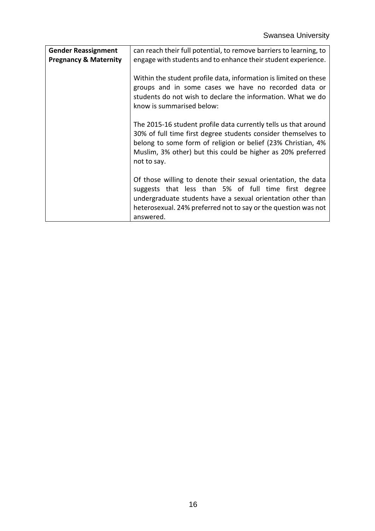| <b>Gender Reassignment</b><br><b>Pregnancy &amp; Maternity</b> | can reach their full potential, to remove barriers to learning, to<br>engage with students and to enhance their student experience.                                                                                                                                            |
|----------------------------------------------------------------|--------------------------------------------------------------------------------------------------------------------------------------------------------------------------------------------------------------------------------------------------------------------------------|
|                                                                | Within the student profile data, information is limited on these<br>groups and in some cases we have no recorded data or<br>students do not wish to declare the information. What we do<br>know is summarised below:                                                           |
|                                                                | The 2015-16 student profile data currently tells us that around<br>30% of full time first degree students consider themselves to<br>belong to some form of religion or belief (23% Christian, 4%<br>Muslim, 3% other) but this could be higher as 20% preferred<br>not to say. |
|                                                                | Of those willing to denote their sexual orientation, the data<br>suggests that less than 5% of full time first degree<br>undergraduate students have a sexual orientation other than<br>heterosexual. 24% preferred not to say or the question was not<br>answered.            |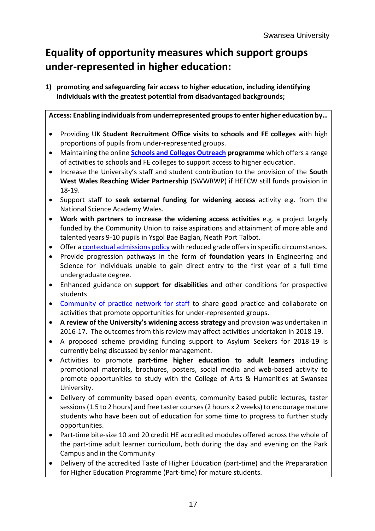# **Equality of opportunity measures which support groups under-represented in higher education:**

**1) promoting and safeguarding fair access to higher education, including identifying individuals with the greatest potential from disadvantaged backgrounds;**

**Access: Enabling individuals from underrepresented groups to enter higher education by…**

- Providing UK **Student Recruitment Office visits to schools and FE colleges** with high proportions of pupils from under-represented groups.
- Maintaining the online **[Schools and Colleges Outreach](http://www.swansea.ac.uk/outreach/) programme** which offers a range of activities to schools and FE colleges to support access to higher education.
- Increase the University's staff and student contribution to the provision of the **South West Wales Reaching Wider Partnership** (SWWRWP) if HEFCW still funds provision in 18-19.
- Support staff to **seek external funding for widening access** activity e.g. from the National Science Academy Wales.
- **Work with partners to increase the widening access activities** e.g. a project largely funded by the Community Union to raise aspirations and attainment of more able and talented years 9-10 pupils in Ysgol Bae Baglan, Neath Port Talbot.
- Offer [a contextual admissions policy](http://www.swansea.ac.uk/admissions/admissionspolicy/b-structuresandprocesses/) with reduced grade offers in specific circumstances.
- Provide progression pathways in the form of **foundation years** in Engineering and Science for individuals unable to gain direct entry to the first year of a full time undergraduate degree.
- Enhanced guidance on **support for disabilities** and other conditions for prospective students
- [Community of practice network for staff](http://sails.swan.ac.uk/) to share good practice and collaborate on activities that promote opportunities for under-represented groups.
- **A review of the University's widening access strategy** and provision was undertaken in 2016-17. The outcomes from this review may affect activities undertaken in 2018-19.
- A proposed scheme providing funding support to Asylum Seekers for 2018-19 is currently being discussed by senior management.
- Activities to promote **part-time higher education to adult learners** including promotional materials, brochures, posters, social media and web-based activity to promote opportunities to study with the College of Arts & Humanities at Swansea University.
- Delivery of community based open events, community based public lectures, taster sessions (1.5 to 2 hours) and free taster courses(2 hours x 2 weeks) to encourage mature students who have been out of education for some time to progress to further study opportunities.
- Part-time bite-size 10 and 20 credit HE accredited modules offered across the whole of the part-time adult learner curriculum, both during the day and evening on the Park Campus and in the Community
- Delivery of the accredited Taste of Higher Education (part-time) and the Prepararation for Higher Education Programme (Part-time) for mature students.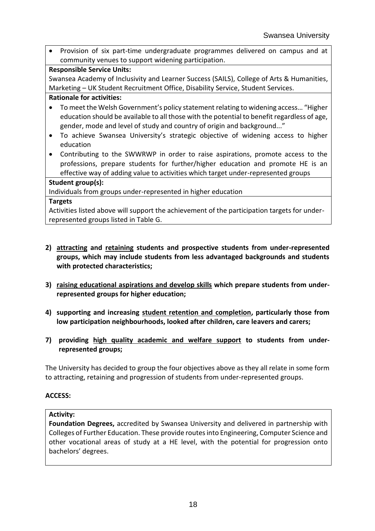Provision of six part-time undergraduate programmes delivered on campus and at community venues to support widening participation.

#### **Responsible Service Units:**

Swansea Academy of Inclusivity and Learner Success (SAILS), College of Arts & Humanities, Marketing – UK Student Recruitment Office, Disability Service, Student Services.

#### **Rationale for activities:**

- To meet the Welsh Government's policy statement relating to widening access… "Higher education should be available to all those with the potential to benefit regardless of age, gender, mode and level of study and country of origin and background..."
- To achieve Swansea University's strategic objective of widening access to higher education
- Contributing to the SWWRWP in order to raise aspirations, promote access to the professions, prepare students for further/higher education and promote HE is an effective way of adding value to activities which target under-represented groups

#### **Student group(s):**

Individuals from groups under-represented in higher education

#### **Targets**

Activities listed above will support the achievement of the participation targets for underrepresented groups listed in Table G.

- **2) attracting and retaining students and prospective students from under-represented groups, which may include students from less advantaged backgrounds and students with protected characteristics;**
- **3) raising educational aspirations and develop skills which prepare students from underrepresented groups for higher education;**
- **4) supporting and increasing student retention and completion, particularly those from low participation neighbourhoods, looked after children, care leavers and carers;**
- **7) providing high quality academic and welfare support to students from underrepresented groups;**

The University has decided to group the four objectives above as they all relate in some form to attracting, retaining and progression of students from under-represented groups.

#### **ACCESS:**

#### **Activity:**

**Foundation Degrees,** accredited by Swansea University and delivered in partnership with Colleges of Further Education. These provide routes into Engineering, Computer Science and other vocational areas of study at a HE level, with the potential for progression onto bachelors' degrees.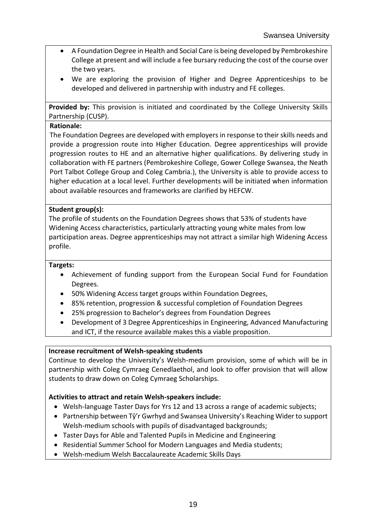- A Foundation Degree in Health and Social Care is being developed by Pembrokeshire College at present and will include a fee bursary reducing the cost of the course over the two years.
- We are exploring the provision of Higher and Degree Apprenticeships to be developed and delivered in partnership with industry and FE colleges.

**Provided by:** This provision is initiated and coordinated by the College University Skills Partnership (CUSP).

#### **Rationale:**

The Foundation Degrees are developed with employers in response to their skills needs and provide a progression route into Higher Education. Degree apprenticeships will provide progression routes to HE and an alternative higher qualifications. By delivering study in collaboration with FE partners (Pembrokeshire College, Gower College Swansea, the Neath Port Talbot College Group and Coleg Cambria.), the University is able to provide access to higher education at a local level. Further developments will be initiated when information about available resources and frameworks are clarified by HEFCW.

#### **Student group(s):**

The profile of students on the Foundation Degrees shows that 53% of students have Widening Access characteristics, particularly attracting young white males from low participation areas. Degree apprenticeships may not attract a similar high Widening Access profile.

#### **Targets:**

- Achievement of funding support from the European Social Fund for Foundation Degrees.
- 50% Widening Access target groups within Foundation Degrees,
- 85% retention, progression & successful completion of Foundation Degrees
- 25% progression to Bachelor's degrees from Foundation Degrees
- Development of 3 Degree Apprenticeships in Engineering, Advanced Manufacturing and ICT, if the resource available makes this a viable proposition.

#### **Increase recruitment of Welsh-speaking students**

Continue to develop the University's Welsh-medium provision, some of which will be in partnership with Coleg Cymraeg Cenedlaethol, and look to offer provision that will allow students to draw down on Coleg Cymraeg Scholarships.

#### **Activities to attract and retain Welsh-speakers include:**

- Welsh-language Taster Days for Yrs 12 and 13 across a range of academic subjects;
- Partnership between Tŷ'r Gwrhyd and Swansea University's Reaching Wider to support Welsh-medium schools with pupils of disadvantaged backgrounds;
- Taster Days for Able and Talented Pupils in Medicine and Engineering
- Residential Summer School for Modern Languages and Media students;
- Welsh-medium Welsh Baccalaureate Academic Skills Days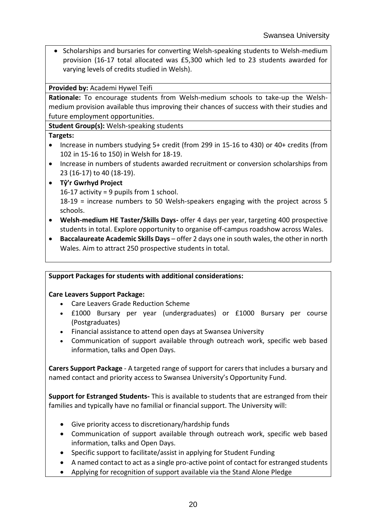• Scholarships and bursaries for converting Welsh-speaking students to Welsh-medium provision (16-17 total allocated was £5,300 which led to 23 students awarded for varying levels of credits studied in Welsh).

**Provided by:** Academi Hywel Teifi

**Rationale:** To encourage students from Welsh-medium schools to take-up the Welshmedium provision available thus improving their chances of success with their studies and future employment opportunities.

**Student Group(s):** Welsh-speaking students

#### **Targets:**

- Increase in numbers studying 5+ credit (from 299 in 15-16 to 430) or 40+ credits (from 102 in 15-16 to 150) in Welsh for 18-19.
- Increase in numbers of students awarded recruitment or conversion scholarships from 23 (16-17) to 40 (18-19).

## **Tŷ'r Gwrhyd Project**

16-17 activity = 9 pupils from 1 school.

18-19 = increase numbers to 50 Welsh-speakers engaging with the project across 5 schools.

- **Welsh-medium HE Taster/Skills Days-** offer 4 days per year, targeting 400 prospective students in total. Explore opportunity to organise off-campus roadshow across Wales.
- **Baccalaureate Academic Skills Days** offer 2 days one in south wales, the other in north Wales. Aim to attract 250 prospective students in total.

## **Support Packages for students with additional considerations:**

## **Care Leavers Support Package:**

- Care Leavers Grade Reduction Scheme
- £1000 Bursary per year (undergraduates) or £1000 Bursary per course (Postgraduates)
- Financial assistance to attend open days at Swansea University
- Communication of support available through outreach work, specific web based information, talks and Open Days.

**Carers Support Package** - A targeted range of support for carers that includes a bursary and named contact and priority access to Swansea University's Opportunity Fund.

**Support for Estranged Students-** This is available to students that are estranged from their families and typically have no familial or financial support. The University will:

- Give priority access to discretionary/hardship funds
- Communication of support available through outreach work, specific web based information, talks and Open Days.
- Specific support to facilitate/assist in applying for Student Funding
- A named contact to act as a single pro-active point of contact for estranged students
- Applying for recognition of support available via the Stand Alone Pledge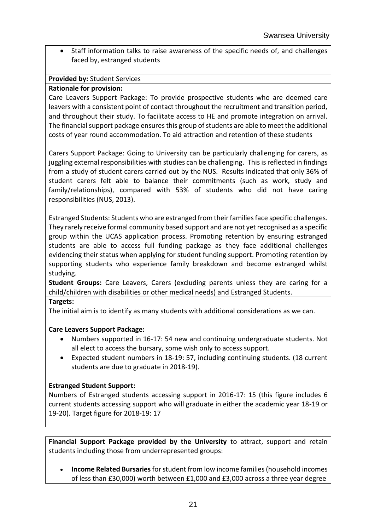• Staff information talks to raise awareness of the specific needs of, and challenges faced by, estranged students

#### **Provided by:** Student Services

#### **Rationale for provision:**

Care Leavers Support Package: To provide prospective students who are deemed care leavers with a consistent point of contact throughout the recruitment and transition period, and throughout their study. To facilitate access to HE and promote integration on arrival. The financial support package ensures this group of students are able to meet the additional costs of year round accommodation. To aid attraction and retention of these students

Carers Support Package: Going to University can be particularly challenging for carers, as juggling external responsibilities with studies can be challenging. This is reflected in findings from a study of student carers carried out by the NUS. Results indicated that only 36% of student carers felt able to balance their commitments (such as work, study and family/relationships), compared with 53% of students who did not have caring responsibilities (NUS, 2013).

Estranged Students: Students who are estranged from their families face specific challenges. They rarely receive formal community based support and are not yet recognised as a specific group within the UCAS application process. Promoting retention by ensuring estranged students are able to access full funding package as they face additional challenges evidencing their status when applying for student funding support. Promoting retention by supporting students who experience family breakdown and become estranged whilst studying.

**Student Groups:** Care Leavers, Carers (excluding parents unless they are caring for a child/children with disabilities or other medical needs) and Estranged Students.

#### **Targets:**

The initial aim is to identify as many students with additional considerations as we can.

#### **Care Leavers Support Package:**

- Numbers supported in 16-17: 54 new and continuing undergraduate students. Not all elect to access the bursary, some wish only to access support.
- Expected student numbers in 18-19: 57, including continuing students. (18 current students are due to graduate in 2018-19).

#### **Estranged Student Support:**

Numbers of Estranged students accessing support in 2016-17: 15 (this figure includes 6 current students accessing support who will graduate in either the academic year 18-19 or 19-20). Target figure for 2018-19: 17

**Financial Support Package provided by the University** to attract, support and retain students including those from underrepresented groups:

 **Income Related Bursaries** for student from low income families (household incomes of less than £30,000) worth between £1,000 and £3,000 across a three year degree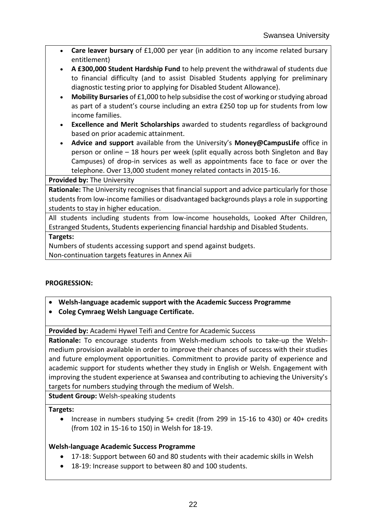- **Care leaver bursary** of £1,000 per year (in addition to any income related bursary entitlement)
- **A £300,000 Student Hardship Fund** to help prevent the withdrawal of students due to financial difficulty (and to assist Disabled Students applying for preliminary diagnostic testing prior to applying for Disabled Student Allowance).
- **Mobility Bursaries** of £1,000 to help subsidise the cost of working or studying abroad as part of a student's course including an extra £250 top up for students from low income families.
- **Excellence and Merit Scholarships** awarded to students regardless of background based on prior academic attainment.
- **Advice and support** available from the University's **Money@CampusLife** office in person or online – 18 hours per week (split equally across both Singleton and Bay Campuses) of drop-in services as well as appointments face to face or over the telephone. Over 13,000 student money related contacts in 2015-16.

#### **Provided by:** The University

**Rationale:** The University recognises that financial support and advice particularly for those students from low-income families or disadvantaged backgrounds plays a role in supporting students to stay in higher education.

All students including students from low-income households, Looked After Children, Estranged Students, Students experiencing financial hardship and Disabled Students.

#### **Targets:**

Numbers of students accessing support and spend against budgets.

Non-continuation targets features in Annex Aii

## **PROGRESSION:**

- **Welsh-language academic support with the Academic Success Programme**
- **Coleg Cymraeg Welsh Language Certificate.**

**Provided by:** Academi Hywel Teifi and Centre for Academic Success

**Rationale:** To encourage students from Welsh-medium schools to take-up the Welshmedium provision available in order to improve their chances of success with their studies and future employment opportunities. Commitment to provide parity of experience and academic support for students whether they study in English or Welsh. Engagement with improving the student experience at Swansea and contributing to achieving the University's targets for numbers studying through the medium of Welsh.

**Student Group:** Welsh-speaking students

#### **Targets:**

• Increase in numbers studying 5+ credit (from 299 in 15-16 to 430) or 40+ credits (from 102 in 15-16 to 150) in Welsh for 18-19.

## **Welsh-language Academic Success Programme**

- 17-18: Support between 60 and 80 students with their academic skills in Welsh
- 18-19: Increase support to between 80 and 100 students.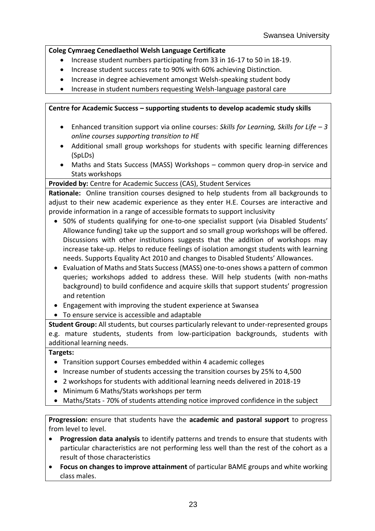#### **Coleg Cymraeg Cenedlaethol Welsh Language Certificate**

- Increase student numbers participating from 33 in 16-17 to 50 in 18-19.
- Increase student success rate to 90% with 60% achieving Distinction.
- Increase in degree achievement amongst Welsh-speaking student body
- Increase in student numbers requesting Welsh-language pastoral care

#### **Centre for Academic Success – supporting students to develop academic study skills**

- Enhanced transition support via online courses: *Skills for Learning, Skills for Life – 3 online courses supporting transition to HE*
- Additional small group workshops for students with specific learning differences (SpLDs)
- Maths and Stats Success (MASS) Workshops common query drop-in service and Stats workshops

## **Provided by:** Centre for Academic Success (CAS), Student Services

**Rationale:** Online transition courses designed to help students from all backgrounds to adjust to their new academic experience as they enter H.E. Courses are interactive and provide information in a range of accessible formats to support inclusivity

- 50% of students qualifying for one-to-one specialist support (via Disabled Students' Allowance funding) take up the support and so small group workshops will be offered. Discussions with other institutions suggests that the addition of workshops may increase take-up. Helps to reduce feelings of isolation amongst students with learning needs. Supports Equality Act 2010 and changes to Disabled Students' Allowances.
- Evaluation of Maths and Stats Success (MASS) one-to-ones shows a pattern of common queries; workshops added to address these. Will help students (with non-maths background) to build confidence and acquire skills that support students' progression and retention
- Engagement with improving the student experience at Swansea
- To ensure service is accessible and adaptable

**Student Group:** All students, but courses particularly relevant to under-represented groups e.g. mature students, students from low-participation backgrounds, students with additional learning needs.

## **Targets:**

- Transition support Courses embedded within 4 academic colleges
- Increase number of students accessing the transition courses by 25% to 4,500
- 2 workshops for students with additional learning needs delivered in 2018-19
- Minimum 6 Maths/Stats workshops per term
- Maths/Stats 70% of students attending notice improved confidence in the subject

**Progression:** ensure that students have the **academic and pastoral support** to progress from level to level.

- **Progression data analysis** to identify patterns and trends to ensure that students with particular characteristics are not performing less well than the rest of the cohort as a result of those characteristics
- **Focus on changes to improve attainment** of particular BAME groups and white working class males.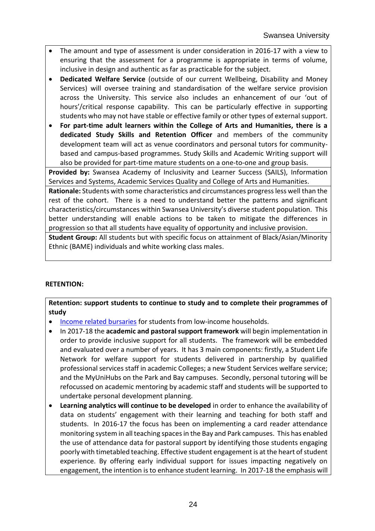- The amount and type of assessment is under consideration in 2016-17 with a view to ensuring that the assessment for a programme is appropriate in terms of volume, inclusive in design and authentic as far as practicable for the subject.
- **Dedicated Welfare Service** (outside of our current Wellbeing, Disability and Money Services) will oversee training and standardisation of the welfare service provision across the University. This service also includes an enhancement of our 'out of hours'/critical response capability. This can be particularly effective in supporting students who may not have stable or effective family or other types of external support.
- **For part-time adult learners within the College of Arts and Humanities, there is a dedicated Study Skills and Retention Officer** and members of the community development team will act as venue coordinators and personal tutors for communitybased and campus-based programmes. Study Skills and Academic Writing support will also be provided for part-time mature students on a one-to-one and group basis.

**Provided by:** Swansea Academy of Inclusivity and Learner Success (SAILS), Information Services and Systems, Academic Services Quality and College of Arts and Humanities.

**Rationale:** Students with some characteristics and circumstances progress less well than the rest of the cohort. There is a need to understand better the patterns and significant characteristics/circumstances within Swansea University's diverse student population. This better understanding will enable actions to be taken to mitigate the differences in progression so that all students have equality of opportunity and inclusive provision.

**Student Group:** All students but with specific focus on attainment of Black/Asian/Minority Ethnic (BAME) individuals and white working class males.

## **RETENTION:**

**Retention: support students to continue to study and to complete their programmes of study**

- [Income related bursaries](http://www.swansea.ac.uk/scholarships/income-related-bursaries/) for students from low-income households.
- In 2017-18 the **academic and pastoral support framework** will begin implementation in order to provide inclusive support for all students. The framework will be embedded and evaluated over a number of years. It has 3 main components: firstly, a Student Life Network for welfare support for students delivered in partnership by qualified professional services staff in academic Colleges; a new Student Services welfare service; and the MyUniHubs on the Park and Bay campuses. Secondly, personal tutoring will be refocussed on academic mentoring by academic staff and students will be supported to undertake personal development planning.
- **Learning analytics will continue to be developed** in order to enhance the availability of data on students' engagement with their learning and teaching for both staff and students. In 2016-17 the focus has been on implementing a card reader attendance monitoring system in all teaching spaces in the Bay and Park campuses. This has enabled the use of attendance data for pastoral support by identifying those students engaging poorly with timetabled teaching. Effective student engagement is at the heart of student experience. By offering early individual support for issues impacting negatively on engagement, the intention is to enhance student learning. In 2017-18 the emphasis will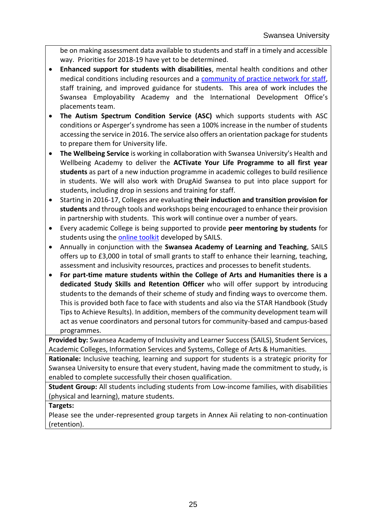be on making assessment data available to students and staff in a timely and accessible way. Priorities for 2018-19 have yet to be determined.

- **Enhanced support for students with disabilities**, mental health conditions and other medical conditions including resources and a [community of practice network for staff,](http://sails.swan.ac.uk/) staff training, and improved guidance for students. This area of work includes the Swansea Employability Academy and the International Development Office's placements team.
- **The Autism Spectrum Condition Service (ASC)** which supports students with ASC conditions or Asperger's syndrome has seen a 100% increase in the number of students accessing the service in 2016. The service also offers an orientation package for students to prepare them for University life.
- **The Wellbeing Service** is working in collaboration with Swansea University's Health and Wellbeing Academy to deliver the **ACTivate Your Life Programme to all first year students** as part of a new induction programme in academic colleges to build resilience in students. We will also work with DrugAid Swansea to put into place support for students, including drop in sessions and training for staff.
- Starting in 2016-17, Colleges are evaluating **their induction and transition provision for students** and through tools and workshops being encouraged to enhance their provision in partnership with students. This work will continue over a number of years.
- Every academic College is being supported to provide **peer mentoring by students** for students using the **online toolkit** developed by SAILS.
- Annually in conjunction with the **Swansea Academy of Learning and Teaching**, SAILS offers up to £3,000 in total of small grants to staff to enhance their learning, teaching, assessment and inclusivity resources, practices and processes to benefit students.
- **For part-time mature students within the College of Arts and Humanities there is a dedicated Study Skills and Retention Officer** who will offer support by introducing students to the demands of their scheme of study and finding ways to overcome them. This is provided both face to face with students and also via the STAR Handbook (Study Tips to Achieve Results). In addition, members of the community development team will act as venue coordinators and personal tutors for community-based and campus-based programmes.

**Provided by:** Swansea Academy of Inclusivity and Learner Success (SAILS), Student Services, Academic Colleges, Information Services and Systems, College of Arts & Humanities.

**Rationale:** Inclusive teaching, learning and support for students is a strategic priority for Swansea University to ensure that every student, having made the commitment to study, is enabled to complete successfully their chosen qualification.

**Student Group:** All students including students from Low-income families, with disabilities (physical and learning), mature students.

## **Targets:**

Please see the under-represented group targets in Annex Aii relating to non-continuation (retention).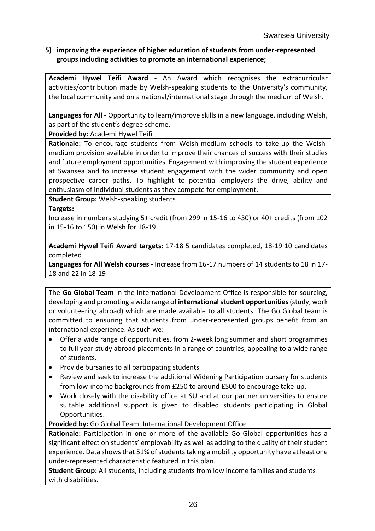#### **5) improving the experience of higher education of students from under-represented groups including activities to promote an international experience;**

**Academi Hywel Teifi Award -** An Award which recognises the extracurricular activities/contribution made by Welsh-speaking students to the University's community, the local community and on a national/international stage through the medium of Welsh.

**Languages for All -** Opportunity to learn/improve skills in a new language, including Welsh, as part of the student's degree scheme.

**Provided by:** Academi Hywel Teifi

**Rationale:** To encourage students from Welsh-medium schools to take-up the Welshmedium provision available in order to improve their chances of success with their studies and future employment opportunities. Engagement with improving the student experience at Swansea and to increase student engagement with the wider community and open prospective career paths. To highlight to potential employers the drive, ability and enthusiasm of individual students as they compete for employment.

**Student Group:** Welsh-speaking students

**Targets:**

Increase in numbers studying 5+ credit (from 299 in 15-16 to 430) or 40+ credits (from 102 in 15-16 to 150) in Welsh for 18-19.

**Academi Hywel Teifi Award targets:** 17-18 5 candidates completed, 18-19 10 candidates completed

**Languages for All Welsh courses -** Increase from 16-17 numbers of 14 students to 18 in 17- 18 and 22 in 18-19

The **Go Global Team** in the International Development Office is responsible for sourcing, developing and promoting a wide range of **international student opportunities**(study, work or volunteering abroad) which are made available to all students. The Go Global team is committed to ensuring that students from under-represented groups benefit from an international experience. As such we:

- Offer a wide range of opportunities, from 2-week long summer and short programmes to full year study abroad placements in a range of countries, appealing to a wide range of students.
- Provide bursaries to all participating students
- Review and seek to increase the additional Widening Participation bursary for students from low-income backgrounds from £250 to around £500 to encourage take-up.
- Work closely with the disability office at SU and at our partner universities to ensure suitable additional support is given to disabled students participating in Global Opportunities.

**Provided by:** Go Global Team, International Development Office

**Rationale:** Participation in one or more of the available Go Global opportunities has a significant effect on students' employability as well as adding to the quality of their student experience. Data shows that 51% of students taking a mobility opportunity have at least one under-represented characteristic featured in this plan.

**Student Group:** All students, including students from low income families and students with disabilities.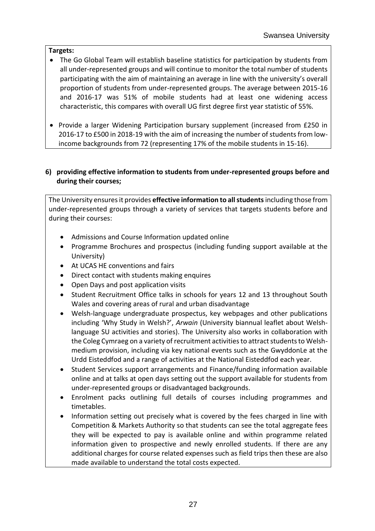#### **Targets:**

- The Go Global Team will establish baseline statistics for participation by students from all under-represented groups and will continue to monitor the total number of students participating with the aim of maintaining an average in line with the university's overall proportion of students from under-represented groups. The average between 2015-16 and 2016-17 was 51% of mobile students had at least one widening access characteristic, this compares with overall UG first degree first year statistic of 55%.
- Provide a larger Widening Participation bursary supplement (increased from £250 in 2016-17 to £500 in 2018-19 with the aim of increasing the number of students from lowincome backgrounds from 72 (representing 17% of the mobile students in 15-16).

#### **6) providing effective information to students from under-represented groups before and during their courses;**

The University ensures it provides **effective information to all students**including those from under-represented groups through a variety of services that targets students before and during their courses:

- Admissions and Course Information updated online
- Programme Brochures and prospectus (including funding support available at the University)
- At UCAS HE conventions and fairs
- Direct contact with students making enquires
- Open Days and post application visits
- Student Recruitment Office talks in schools for years 12 and 13 throughout South Wales and covering areas of rural and urban disadvantage
- Welsh-language undergraduate prospectus, key webpages and other publications including 'Why Study in Welsh?', *Arwain* (University biannual leaflet about Welshlanguage SU activities and stories). The University also works in collaboration with the Coleg Cymraeg on a variety of recruitment activities to attract students to Welshmedium provision, including via key national events such as the GwyddonLe at the Urdd Eisteddfod and a range of activities at the National Eisteddfod each year.
- Student Services support arrangements and Finance/funding information available online and at talks at open days setting out the support available for students from under-represented groups or disadvantaged backgrounds.
- Enrolment packs outlining full details of courses including programmes and timetables.
- Information setting out precisely what is covered by the fees charged in line with Competition & Markets Authority so that students can see the total aggregate fees they will be expected to pay is available online and within programme related information given to prospective and newly enrolled students. If there are any additional charges for course related expenses such as field trips then these are also made available to understand the total costs expected.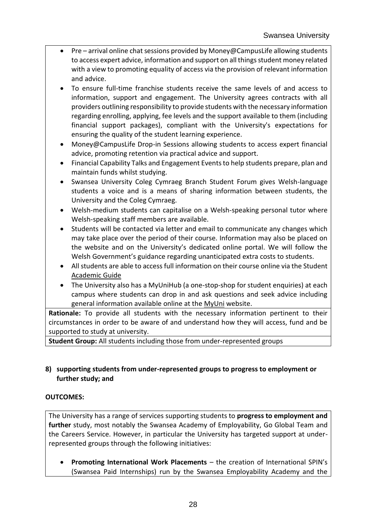- Pre arrival online chat sessions provided by Money@CampusLife allowing students to access expert advice, information and support on all things student money related with a view to promoting equality of access via the provision of relevant information and advice.
- To ensure full-time franchise students receive the same levels of and access to information, support and engagement. The University agrees contracts with all providers outlining responsibility to provide students with the necessary information regarding enrolling, applying, fee levels and the support available to them (including financial support packages), compliant with the University's expectations for ensuring the quality of the student learning experience.
- Money@CampusLife Drop-in Sessions allowing students to access expert financial advice, promoting retention via practical advice and support.
- Financial Capability Talks and Engagement Events to help students prepare, plan and maintain funds whilst studying.
- Swansea University Coleg Cymraeg Branch Student Forum gives Welsh-language students a voice and is a means of sharing information between students, the University and the Coleg Cymraeg.
- Welsh-medium students can capitalise on a Welsh-speaking personal tutor where Welsh-speaking staff members are available.
- Students will be contacted via letter and email to communicate any changes which may take place over the period of their course. Information may also be placed on the website and on the University's dedicated online portal. We will follow the Welsh Government's guidance regarding unanticipated extra costs to students.
- All students are able to access full information on their course online via the Student [Academic Guide](https://www.swansea.ac.uk/academic-services/academic-guide/)
- The University also has a MyUniHub (a one-stop-shop for student enquiries) at each campus where students can drop in and ask questions and seek advice including general information available online at the [MyUni](https://myuni.swansea.ac.uk/) website.

**Rationale:** To provide all students with the necessary information pertinent to their circumstances in order to be aware of and understand how they will access, fund and be supported to study at university.

**Student Group:** All students including those from under-represented groups

#### **8) supporting students from under-represented groups to progress to employment or further study; and**

## **OUTCOMES:**

The University has a range of services supporting students to **progress to employment and further** study, most notably the Swansea Academy of Employability, Go Global Team and the Careers Service. However, in particular the University has targeted support at underrepresented groups through the following initiatives:

 **Promoting International Work Placements** – the creation of International SPIN's (Swansea Paid Internships) run by the Swansea Employability Academy and the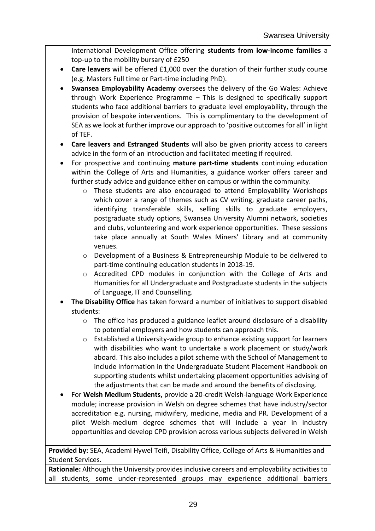International Development Office offering **students from low-income families** a top-up to the mobility bursary of £250

- **Care leavers** will be offered £1,000 over the duration of their further study course (e.g. Masters Full time or Part-time including PhD).
- **Swansea Employability Academy** oversees the delivery of the Go Wales: Achieve through Work Experience Programme – This is designed to specifically support students who face additional barriers to graduate level employability, through the provision of bespoke interventions. This is complimentary to the development of SEA as we look at further improve our approach to 'positive outcomes for all' in light of TEF.
- **Care leavers and Estranged Students** will also be given priority access to careers advice in the form of an introduction and facilitated meeting if required.
- For prospective and continuing **mature part-time students** continuing education within the College of Arts and Humanities, a guidance worker offers career and further study advice and guidance either on campus or within the community.
	- $\circ$  These students are also encouraged to attend Employability Workshops which cover a range of themes such as CV writing, graduate career paths, identifying transferable skills, selling skills to graduate employers, postgraduate study options, Swansea University Alumni network, societies and clubs, volunteering and work experience opportunities. These sessions take place annually at South Wales Miners' Library and at community venues.
	- o Development of a Business & Entrepreneurship Module to be delivered to part-time continuing education students in 2018-19.
	- o Accredited CPD modules in conjunction with the College of Arts and Humanities for all Undergraduate and Postgraduate students in the subjects of Language, IT and Counselling.
- **The Disability Office** has taken forward a number of initiatives to support disabled students:
	- o The office has produced a guidance leaflet around disclosure of a disability to potential employers and how students can approach this.
	- o Established a University-wide group to enhance existing support for learners with disabilities who want to undertake a work placement or study/work aboard. This also includes a pilot scheme with the School of Management to include information in the Undergraduate Student Placement Handbook on supporting students whilst undertaking placement opportunities advising of the adjustments that can be made and around the benefits of disclosing.
- For **Welsh Medium Students,** provide a 20-credit Welsh-language Work Experience module; increase provision in Welsh on degree schemes that have industry/sector accreditation e.g. nursing, midwifery, medicine, media and PR. Development of a pilot Welsh-medium degree schemes that will include a year in industry opportunities and develop CPD provision across various subjects delivered in Welsh

**Provided by:** SEA, Academi Hywel Teifi, Disability Office, College of Arts & Humanities and Student Services.

**Rationale:** Although the University provides inclusive careers and employability activities to all students, some under-represented groups may experience additional barriers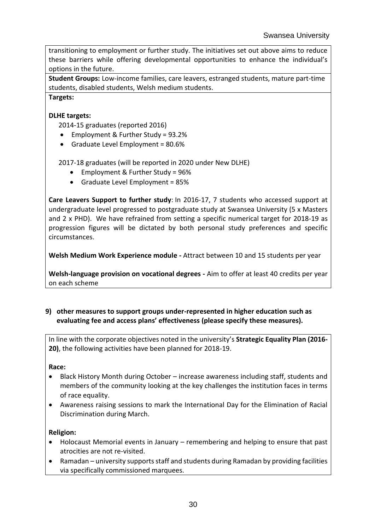transitioning to employment or further study. The initiatives set out above aims to reduce these barriers while offering developmental opportunities to enhance the individual's options in the future.

**Student Groups:** Low-income families, care leavers, estranged students, mature part-time students, disabled students, Welsh medium students.

**Targets:**

#### **DLHE targets:**

2014-15 graduates (reported 2016)

- Employment & Further Study = 93.2%
- Graduate Level Employment = 80.6%

2017-18 graduates (will be reported in 2020 under New DLHE)

- Employment & Further Study = 96%
- Graduate Level Employment = 85%

**Care Leavers Support to further study**: In 2016-17, 7 students who accessed support at undergraduate level progressed to postgraduate study at Swansea University (5 x Masters and 2 x PHD). We have refrained from setting a specific numerical target for 2018-19 as progression figures will be dictated by both personal study preferences and specific circumstances.

**Welsh Medium Work Experience module -** Attract between 10 and 15 students per year

**Welsh-language provision on vocational degrees -** Aim to offer at least 40 credits per year on each scheme

#### **9) other measures to support groups under-represented in higher education such as evaluating fee and access plans' effectiveness (please specify these measures).**

In line with the corporate objectives noted in the university's **Strategic Equality Plan (2016- 20)**, the following activities have been planned for 2018-19.

#### **Race:**

- Black History Month during October increase awareness including staff, students and members of the community looking at the key challenges the institution faces in terms of race equality.
- Awareness raising sessions to mark the International Day for the Elimination of Racial Discrimination during March.

#### **Religion:**

- Holocaust Memorial events in January remembering and helping to ensure that past atrocities are not re-visited.
- Ramadan university supports staff and students during Ramadan by providing facilities via specifically commissioned marquees.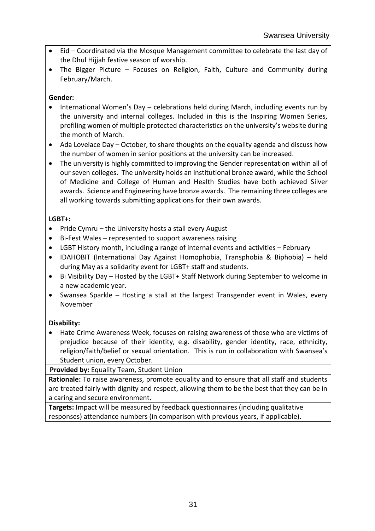- Eid Coordinated via the Mosque Management committee to celebrate the last day of the Dhul Hijjah festive season of worship.
- The Bigger Picture Focuses on Religion, Faith, Culture and Community during February/March.

## **Gender:**

- International Women's Day celebrations held during March, including events run by the university and internal colleges. Included in this is the Inspiring Women Series, profiling women of multiple protected characteristics on the university's website during the month of March.
- Ada Lovelace Day October, to share thoughts on the equality agenda and discuss how the number of women in senior positions at the university can be increased.
- The university is highly committed to improving the Gender representation within all of our seven colleges. The university holds an institutional bronze award, while the School of Medicine and College of Human and Health Studies have both achieved Silver awards. Science and Engineering have bronze awards. The remaining three colleges are all working towards submitting applications for their own awards.

## **LGBT+:**

- Pride Cymru the University hosts a stall every August
- Bi-Fest Wales represented to support awareness raising
- LGBT History month, including a range of internal events and activities February
- IDAHOBIT (International Day Against Homophobia, Transphobia & Biphobia) held during May as a solidarity event for LGBT+ staff and students.
- Bi Visibility Day Hosted by the LGBT+ Staff Network during September to welcome in a new academic year.
- Swansea Sparkle Hosting a stall at the largest Transgender event in Wales, every November

## **Disability:**

 Hate Crime Awareness Week, focuses on raising awareness of those who are victims of prejudice because of their identity, e.g. disability, gender identity, race, ethnicity, religion/faith/belief or sexual orientation. This is run in collaboration with Swansea's Student union, every October.

**Provided by:** Equality Team, Student Union

**Rationale:** To raise awareness, promote equality and to ensure that all staff and students are treated fairly with dignity and respect, allowing them to be the best that they can be in a caring and secure environment.

**Targets:** Impact will be measured by feedback questionnaires (including qualitative responses) attendance numbers (in comparison with previous years, if applicable).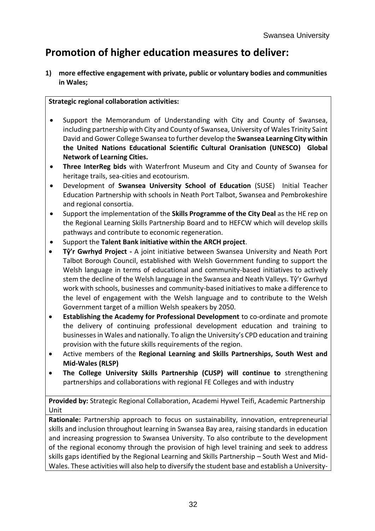# **Promotion of higher education measures to deliver:**

**1) more effective engagement with private, public or voluntary bodies and communities in Wales;**

#### **Strategic regional collaboration activities:**

- Support the Memorandum of Understanding with City and County of Swansea, including partnership with City and County of Swansea, University of Wales Trinity Saint David and Gower College Swansea to further develop the **Swansea Learning City within the United Nations Educational Scientific Cultural Oranisation (UNESCO) Global Network of Learning Cities.**
- **Three InterReg bids** with Waterfront Museum and City and County of Swansea for heritage trails, sea-cities and ecotourism.
- Development of **Swansea University School of Education** (SUSE) Initial Teacher Education Partnership with schools in Neath Port Talbot, Swansea and Pembrokeshire and regional consortia.
- Support the implementation of the **Skills Programme of the City Deal** as the HE rep on the Regional Learning Skills Partnership Board and to HEFCW which will develop skills pathways and contribute to economic regeneration.
- Support the **Talent Bank initiative within the ARCH project**.
- **Tŷ'r Gwrhyd Project -** A joint initiative between Swansea University and Neath Port Talbot Borough Council, established with Welsh Government funding to support the Welsh language in terms of educational and community-based initiatives to actively stem the decline of the Welsh language in the Swansea and Neath Valleys. Tŷ'r Gwrhyd work with schools, businesses and community-based initiatives to make a difference to the level of engagement with the Welsh language and to contribute to the Welsh Government target of a million Welsh speakers by 2050.
- **Establishing the Academy for Professional Development** to co-ordinate and promote the delivery of continuing professional development education and training to businesses in Wales and nationally. To align the University's CPD education and training provision with the future skills requirements of the region.
- Active members of the **Regional Learning and Skills Partnerships, South West and Mid-Wales (RLSP)**
- **The College University Skills Partnership (CUSP) will continue to** strengthening partnerships and collaborations with regional FE Colleges and with industry

**Provided by:** Strategic Regional Collaboration, Academi Hywel Teifi, Academic Partnership Unit

**Rationale:** Partnership approach to focus on sustainability, innovation, entrepreneurial skills and inclusion throughout learning in Swansea Bay area, raising standards in education and increasing progression to Swansea University. To also contribute to the development of the regional economy through the provision of high level training and seek to address skills gaps identified by the Regional Learning and Skills Partnership – South West and Mid-Wales. These activities will also help to diversify the student base and establish a University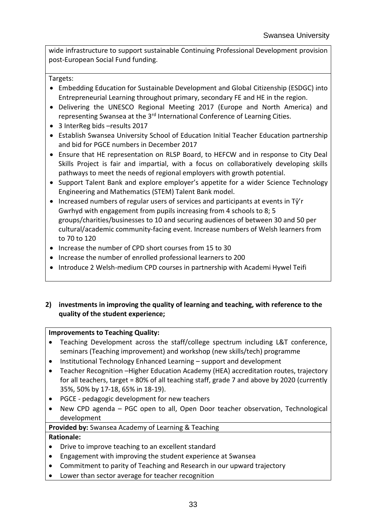wide infrastructure to support sustainable Continuing Professional Development provision post-European Social Fund funding.

Targets:

- Embedding Education for Sustainable Development and Global Citizenship (ESDGC) into Entrepreneurial Learning throughout primary, secondary FE and HE in the region.
- Delivering the UNESCO Regional Meeting 2017 (Europe and North America) and representing Swansea at the 3<sup>rd</sup> International Conference of Learning Cities.
- 3 InterReg bids results 2017
- Establish Swansea University School of Education Initial Teacher Education partnership and bid for PGCE numbers in December 2017
- Ensure that HE representation on RLSP Board, to HEFCW and in response to City Deal Skills Project is fair and impartial, with a focus on collaboratively developing skills pathways to meet the needs of regional employers with growth potential.
- Support Talent Bank and explore employer's appetite for a wider Science Technology Engineering and Mathematics (STEM) Talent Bank model.
- $\bullet$  Increased numbers of regular users of services and participants at events in T $\hat{v}'$ r Gwrhyd with engagement from pupils increasing from 4 schools to 8; 5 groups/charities/businesses to 10 and securing audiences of between 30 and 50 per cultural/academic community-facing event. Increase numbers of Welsh learners from to 70 to 120
- Increase the number of CPD short courses from 15 to 30
- Increase the number of enrolled professional learners to 200
- Introduce 2 Welsh-medium CPD courses in partnership with Academi Hywel Teifi

#### **2) investments in improving the quality of learning and teaching, with reference to the quality of the student experience;**

#### **Improvements to Teaching Quality:**

- Teaching Development across the staff/college spectrum including L&T conference, seminars (Teaching improvement) and workshop (new skills/tech) programme
- Institutional Technology Enhanced Learning support and development
- Teacher Recognition –Higher Education Academy (HEA) accreditation routes, trajectory for all teachers, target = 80% of all teaching staff, grade 7 and above by 2020 (currently 35%, 50% by 17-18, 65% in 18-19).
- PGCE pedagogic development for new teachers
- New CPD agenda PGC open to all, Open Door teacher observation, Technological development

#### **Provided by:** Swansea Academy of Learning & Teaching **Rationale:**

- Drive to improve teaching to an excellent standard
- Engagement with improving the student experience at Swansea
- Commitment to parity of Teaching and Research in our upward trajectory
- Lower than sector average for teacher recognition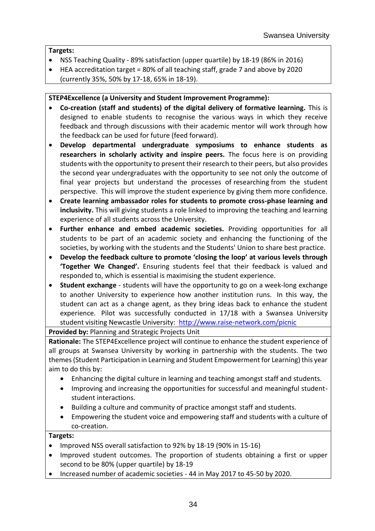#### **Targets:**

- NSS Teaching Quality 89% satisfaction (upper quartile) by 18-19 (86% in 2016)
- HEA accreditation target = 80% of all teaching staff, grade 7 and above by 2020 (currently 35%, 50% by 17-18, 65% in 18-19).

#### **STEP4Excellence (a University and Student Improvement Programme):**

- **Co-creation (staff and students) of the digital delivery of formative learning.** This is designed to enable students to recognise the various ways in which they receive feedback and through discussions with their academic mentor will work through how the feedback can be used for future (feed forward).
- **Develop departmental undergraduate symposiums to enhance students as researchers in scholarly activity and inspire peers.** The focus here is on providing students with the opportunity to present their research to their peers, but also provides the second year undergraduates with the opportunity to see not only the outcome of final year projects but understand the processes of researching from the student perspective. This will improve the student experience by giving them more confidence.
- **Create learning ambassador roles for students to promote cross-phase learning and inclusivity.** This will giving students a role linked to improving the teaching and learning experience of all students across the University.
- **Further enhance and embed academic societies.** Providing opportunities for all students to be part of an academic society and enhancing the functioning of the societies, by working with the students and the Students' Union to share best practice.
- **Develop the feedback culture to promote 'closing the loop' at various levels through 'Together We Changed'.** Ensuring students feel that their feedback is valued and responded to, which is essential is maximising the student experience.
- **Student exchange** students will have the opportunity to go on a week-long exchange to another University to experience how another institution runs. In this way, the student can act as a change agent, as they bring ideas back to enhance the student experience. Pilot was successfully conducted in 17/18 with a Swansea University student visiting Newcastle University: <http://www.raise-network.com/picnic>

#### **Provided by:** Planning and Strategic Projects Unit

**Rationale:** The STEP4Excellence project will continue to enhance the student experience of all groups at Swansea University by working in partnership with the students. The two themes (Student Participation in Learning and Student Empowerment for Learning) this year aim to do this by:

- Enhancing the digital culture in learning and teaching amongst staff and students.
- Improving and increasing the opportunities for successful and meaningful studentstudent interactions.
- Building a culture and community of practice amongst staff and students.
- Empowering the student voice and empowering staff and students with a culture of co-creation.

#### **Targets:**

- Improved NSS overall satisfaction to 92% by 18-19 (90% in 15-16)
- Improved student outcomes. The proportion of students obtaining a first or upper second to be 80% (upper quartile) by 18-19
- Increased number of academic societies 44 in May 2017 to 45-50 by 2020.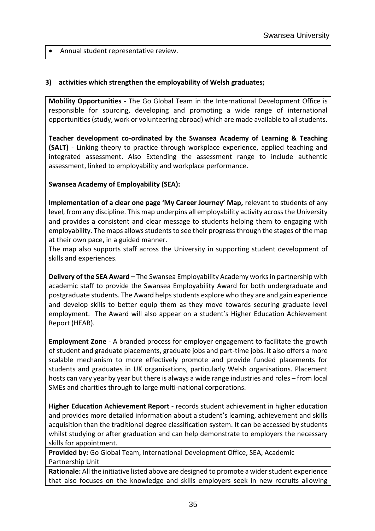Annual student representative review.

#### **3) activities which strengthen the employability of Welsh graduates;**

**Mobility Opportunities** - The Go Global Team in the International Development Office is responsible for sourcing, developing and promoting a wide range of international opportunities (study, work or volunteering abroad) which are made available to all students.

**Teacher development co-ordinated by the Swansea Academy of Learning & Teaching (SALT)** - Linking theory to practice through workplace experience, applied teaching and integrated assessment. Also Extending the assessment range to include authentic assessment, linked to employability and workplace performance.

#### **Swansea Academy of Employability (SEA):**

**Implementation of a clear one page 'My Career Journey' Map,** relevant to students of any level, from any discipline. This map underpins all employability activity across the University and provides a consistent and clear message to students helping them to engaging with employability. The maps allows students to see their progress through the stages of the map at their own pace, in a guided manner.

The map also supports staff across the University in supporting student development of skills and experiences.

**Delivery of the SEA Award –** The Swansea Employability Academy works in partnership with academic staff to provide the Swansea Employability Award for both undergraduate and postgraduate students. The Award helps students explore who they are and gain experience and develop skills to better equip them as they move towards securing graduate level employment. The Award will also appear on a student's Higher Education Achievement Report (HEAR).

**Employment Zone** - A branded process for employer engagement to facilitate the growth of student and graduate placements, graduate jobs and part-time jobs. It also offers a more scalable mechanism to more effectively promote and provide funded placements for students and graduates in UK organisations, particularly Welsh organisations. Placement hosts can vary year by year but there is always a wide range industries and roles – from local SMEs and charities through to large multi-national corporations.

**Higher Education Achievement Report** - records student achievement in higher education and provides more detailed information about a student's learning, achievement and skills acquisition than the traditional degree classification system. It can be accessed by students whilst studying or after graduation and can help demonstrate to employers the necessary skills for appointment.

**Provided by:** Go Global Team, International Development Office, SEA, Academic Partnership Unit

**Rationale:** All the initiative listed above are designed to promote a wider student experience that also focuses on the knowledge and skills employers seek in new recruits allowing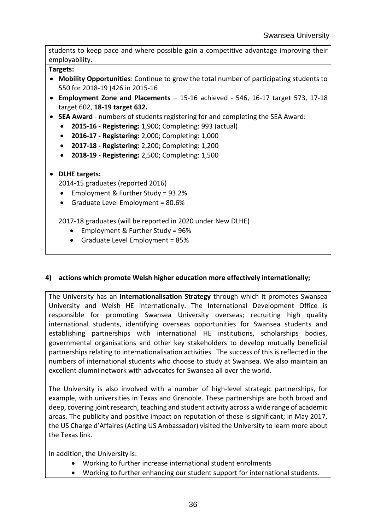students to keep pace and where possible gain a competitive advantage improving their employability.

**Targets:**

- **Mobility Opportunities**: Continue to grow the total number of participating students to 550 for 2018-19 (426 in 2015-16
- **Employment Zone and Placements** 15-16 achieved 546, 16-17 target 573, 17-18 target 602, **18-19 target 632.**
- **SEA Award** numbers of students registering for and completing the SEA Award:
	- **2015-16 - Registering:** 1,900; Completing: 993 (actual)
	- **2016-17 - Registering:** 2,000; Completing: 1,000
	- **2017-18 - Registering:** 2,200; Completing: 1,200
	- **2018-19 - Registering:** 2,500; Completing: 1,500

#### **DLHE targets:**

2014-15 graduates (reported 2016)

- Employment & Further Study = 93.2%
- Graduate Level Employment = 80.6%

2017-18 graduates (will be reported in 2020 under New DLHE)

- Employment & Further Study = 96%
- $\bullet$  Graduate Level Employment = 85%

#### **4) actions which promote Welsh higher education more effectively internationally;**

The University has an **Internationalisation Strategy** through which it promotes Swansea University and Welsh HE internationally. The International Development Office is responsible for promoting Swansea University overseas; recruiting high quality international students, identifying overseas opportunities for Swansea students and establishing partnerships with international HE institutions, scholarships bodies, governmental organisations and other key stakeholders to develop mutually beneficial partnerships relating to internationalisation activities. The success of this is reflected in the numbers of international students who choose to study at Swansea. We also maintain an excellent alumni network with advocates for Swansea all over the world.

The University is also involved with a number of high-level strategic partnerships, for example, with universities in Texas and Grenoble. These partnerships are both broad and deep, covering joint research, teaching and student activity across a wide range of academic areas. The publicity and positive impact on reputation of these is significant; in May 2017, the US Charge d'Affaires (Acting US Ambassador) visited the University to learn more about the Texas link.

In addition, the University is:

- Working to further increase international student enrolments
- Working to further enhancing our student support for international students.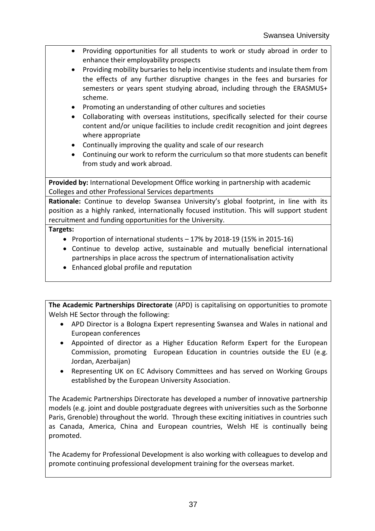- Providing opportunities for all students to work or study abroad in order to enhance their employability prospects
- Providing mobility bursaries to help incentivise students and insulate them from the effects of any further disruptive changes in the fees and bursaries for semesters or years spent studying abroad, including through the ERASMUS+ scheme.
- Promoting an understanding of other cultures and societies
- Collaborating with overseas institutions, specifically selected for their course content and/or unique facilities to include credit recognition and joint degrees where appropriate
- Continually improving the quality and scale of our research
- Continuing our work to reform the curriculum so that more students can benefit from study and work abroad.

**Provided by:** International Development Office working in partnership with academic Colleges and other Professional Services departments

**Rationale:** Continue to develop Swansea University's global footprint, in line with its position as a highly ranked, internationally focused institution. This will support student recruitment and funding opportunities for the University.

## **Targets:**

- Proportion of international students  $-17\%$  by 2018-19 (15% in 2015-16)
- Continue to develop active, sustainable and mutually beneficial international partnerships in place across the spectrum of internationalisation activity
- Enhanced global profile and reputation

**The Academic Partnerships Directorate** (APD) is capitalising on opportunities to promote Welsh HE Sector through the following:

- APD Director is a Bologna Expert representing Swansea and Wales in national and European conferences
- Appointed of director as a Higher Education Reform Expert for the European Commission, promoting European Education in countries outside the EU (e.g. Jordan, Azerbaijan)
- Representing UK on EC Advisory Committees and has served on Working Groups established by the European University Association.

The Academic Partnerships Directorate has developed a number of innovative partnership models (e.g. joint and double postgraduate degrees with universities such as the Sorbonne Paris, Grenoble) throughout the world. Through these exciting initiatives in countries such as Canada, America, China and European countries, Welsh HE is continually being promoted.

The Academy for Professional Development is also working with colleagues to develop and promote continuing professional development training for the overseas market.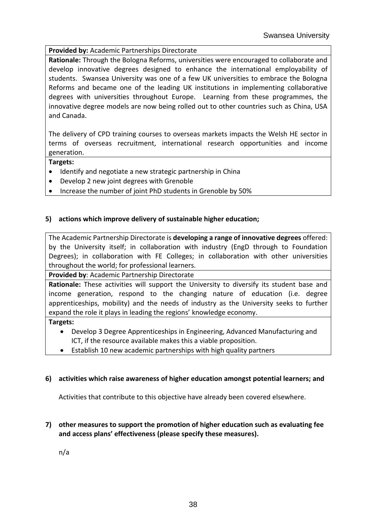#### **Provided by:** Academic Partnerships Directorate

**Rationale:** Through the Bologna Reforms, universities were encouraged to collaborate and develop innovative degrees designed to enhance the international employability of students. Swansea University was one of a few UK universities to embrace the Bologna Reforms and became one of the leading UK institutions in implementing collaborative degrees with universities throughout Europe. Learning from these programmes, the innovative degree models are now being rolled out to other countries such as China, USA and Canada.

The delivery of CPD training courses to overseas markets impacts the Welsh HE sector in terms of overseas recruitment, international research opportunities and income generation.

#### **Targets:**

- Identify and negotiate a new strategic partnership in China
- Develop 2 new joint degrees with Grenoble
- Increase the number of joint PhD students in Grenoble by 50%

#### **5) actions which improve delivery of sustainable higher education;**

The Academic Partnership Directorate is **developing a range of innovative degrees** offered: by the University itself; in collaboration with industry (EngD through to Foundation Degrees); in collaboration with FE Colleges; in collaboration with other universities throughout the world; for professional learners.

**Provided by**: Academic Partnership Directorate

**Rationale:** These activities will support the University to diversify its student base and income generation, respond to the changing nature of education (i.e. degree apprenticeships, mobility) and the needs of industry as the University seeks to further expand the role it plays in leading the regions' knowledge economy.

#### **Targets:**

- Develop 3 Degree Apprenticeships in Engineering, Advanced Manufacturing and ICT, if the resource available makes this a viable proposition.
- Establish 10 new academic partnerships with high quality partners

#### **6) activities which raise awareness of higher education amongst potential learners; and**

Activities that contribute to this objective have already been covered elsewhere.

#### **7) other measures to support the promotion of higher education such as evaluating fee and access plans' effectiveness (please specify these measures).**

n/a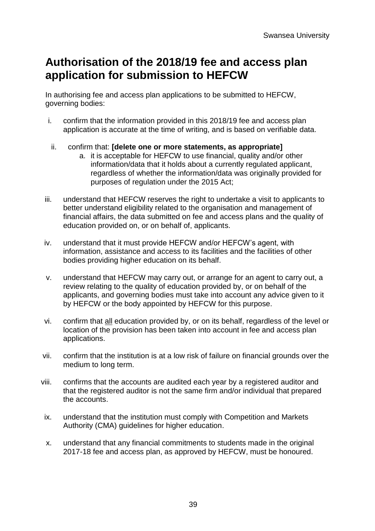# **Authorisation of the 2018/19 fee and access plan application for submission to HEFCW**

In authorising fee and access plan applications to be submitted to HEFCW, governing bodies:

- i. confirm that the information provided in this 2018/19 fee and access plan application is accurate at the time of writing, and is based on verifiable data.
- ii. confirm that: **[delete one or more statements, as appropriate]** 
	- a. it is acceptable for HEFCW to use financial, quality and/or other information/data that it holds about a currently regulated applicant, regardless of whether the information/data was originally provided for purposes of regulation under the 2015 Act;
- iii. understand that HEFCW reserves the right to undertake a visit to applicants to better understand eligibility related to the organisation and management of financial affairs, the data submitted on fee and access plans and the quality of education provided on, or on behalf of, applicants.
- iv. understand that it must provide HEFCW and/or HEFCW's agent, with information, assistance and access to its facilities and the facilities of other bodies providing higher education on its behalf.
- v. understand that HEFCW may carry out, or arrange for an agent to carry out, a review relating to the quality of education provided by, or on behalf of the applicants, and governing bodies must take into account any advice given to it by HEFCW or the body appointed by HEFCW for this purpose.
- vi. confirm that all education provided by, or on its behalf, regardless of the level or location of the provision has been taken into account in fee and access plan applications.
- vii. confirm that the institution is at a low risk of failure on financial grounds over the medium to long term.
- viii. confirms that the accounts are audited each year by a registered auditor and that the registered auditor is not the same firm and/or individual that prepared the accounts.
- ix. understand that the institution must comply with Competition and Markets Authority (CMA) guidelines for higher education.
- x. understand that any financial commitments to students made in the original 2017-18 fee and access plan, as approved by HEFCW, must be honoured.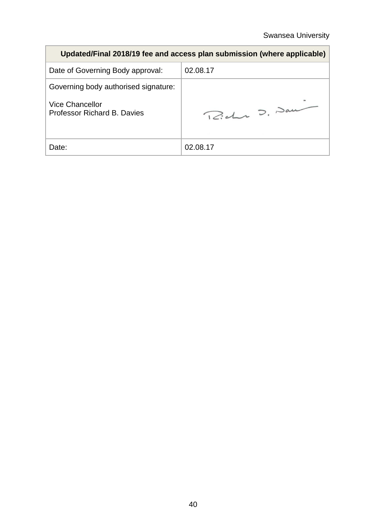| Updated/Final 2018/19 fee and access plan submission (where applicable) |               |  |  |  |
|-------------------------------------------------------------------------|---------------|--|--|--|
| Date of Governing Body approval:                                        | 02.08.17      |  |  |  |
| Governing body authorised signature:                                    |               |  |  |  |
| Vice Chancellor<br>Professor Richard B. Davies                          | Richer D. Dan |  |  |  |
| Date:                                                                   | 02.08.17      |  |  |  |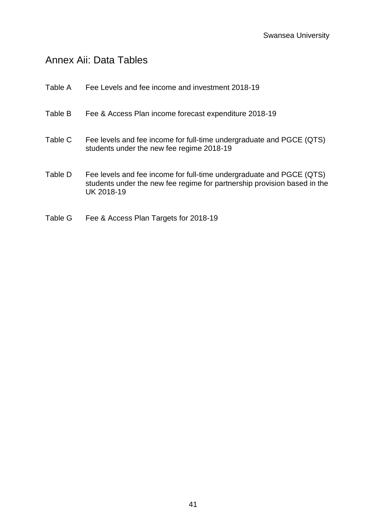# Annex Aii: Data Tables

| Table A | Fee Levels and fee income and investment 2018-19                                                                                                               |
|---------|----------------------------------------------------------------------------------------------------------------------------------------------------------------|
| Table B | Fee & Access Plan income forecast expenditure 2018-19                                                                                                          |
| Table C | Fee levels and fee income for full-time undergraduate and PGCE (QTS)<br>students under the new fee regime 2018-19                                              |
| Table D | Fee levels and fee income for full-time undergraduate and PGCE (QTS)<br>students under the new fee regime for partnership provision based in the<br>UK 2018-19 |

Table G Fee & Access Plan Targets for 2018-19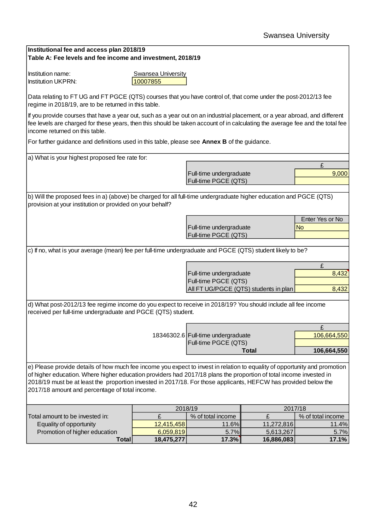| Institutional fee and access plan 2018/19<br>Table A: Fee levels and fee income and investment, 2018/19                                                                                                                                                                                        |                                |                                                               |              |                   |
|------------------------------------------------------------------------------------------------------------------------------------------------------------------------------------------------------------------------------------------------------------------------------------------------|--------------------------------|---------------------------------------------------------------|--------------|-------------------|
|                                                                                                                                                                                                                                                                                                |                                |                                                               |              |                   |
| Institution name:<br><b>Institution UKPRN:</b>                                                                                                                                                                                                                                                 | Swansea University<br>10007855 |                                                               |              |                   |
| Data relating to FT UG and FT PGCE (QTS) courses that you have control of, that come under the post-2012/13 fee                                                                                                                                                                                |                                |                                                               |              |                   |
| regime in 2018/19, are to be returned in this table.                                                                                                                                                                                                                                           |                                |                                                               |              |                   |
| If you provide courses that have a year out, such as a year out on an industrial placement, or a year abroad, and different<br>fee levels are charged for these years, then this should be taken account of in calculating the average fee and the total fee<br>income returned on this table. |                                |                                                               |              |                   |
| For further guidance and definitions used in this table, please see Annex B of the guidance.                                                                                                                                                                                                   |                                |                                                               |              |                   |
| a) What is your highest proposed fee rate for:                                                                                                                                                                                                                                                 |                                |                                                               |              |                   |
|                                                                                                                                                                                                                                                                                                |                                |                                                               |              | £                 |
|                                                                                                                                                                                                                                                                                                |                                | Full-time undergraduate<br>Full-time PGCE (QTS)               |              | 9,000             |
|                                                                                                                                                                                                                                                                                                |                                |                                                               |              |                   |
| b) Will the proposed fees in a) (above) be charged for all full-time undergraduate higher education and PGCE (QTS)<br>provision at your institution or provided on your behalf?                                                                                                                |                                |                                                               |              |                   |
|                                                                                                                                                                                                                                                                                                |                                |                                                               |              | Enter Yes or No   |
|                                                                                                                                                                                                                                                                                                |                                | Full-time undergraduate                                       |              | <b>No</b>         |
|                                                                                                                                                                                                                                                                                                |                                | Full-time PGCE (QTS)                                          |              |                   |
| c) If no, what is your average (mean) fee per full-time undergraduate and PGCE (QTS) student likely to be?                                                                                                                                                                                     |                                |                                                               |              |                   |
|                                                                                                                                                                                                                                                                                                |                                |                                                               |              |                   |
|                                                                                                                                                                                                                                                                                                |                                |                                                               |              | £                 |
|                                                                                                                                                                                                                                                                                                |                                | Full-time undergraduate                                       |              | 8,432             |
|                                                                                                                                                                                                                                                                                                |                                | Full-time PGCE (QTS)<br>All FT UG/PGCE (QTS) students in plan |              | 8,432             |
|                                                                                                                                                                                                                                                                                                |                                |                                                               |              |                   |
| d) What post-2012/13 fee regime income do you expect to receive in 2018/19? You should include all fee income<br>received per full-time undergraduate and PGCE (QTS) student.                                                                                                                  |                                |                                                               |              |                   |
|                                                                                                                                                                                                                                                                                                |                                |                                                               |              | £                 |
|                                                                                                                                                                                                                                                                                                |                                | 18346302.6 Full-time undergraduate                            |              | 106,664,550       |
|                                                                                                                                                                                                                                                                                                |                                | Full-time PGCE (QTS)                                          | <b>Total</b> | 106,664,550       |
|                                                                                                                                                                                                                                                                                                |                                |                                                               |              |                   |
| e) Please provide details of how much fee income you expect to invest in relation to equality of opportunity and promotion                                                                                                                                                                     |                                |                                                               |              |                   |
| of higher education. Where higher education providers had 2017/18 plans the proportion of total income invested in                                                                                                                                                                             |                                |                                                               |              |                   |
| 2018/19 must be at least the proportion invested in 2017/18. For those applicants, HEFCW has provided below the<br>2017/18 amount and percentage of total income.                                                                                                                              |                                |                                                               |              |                   |
|                                                                                                                                                                                                                                                                                                |                                |                                                               |              |                   |
|                                                                                                                                                                                                                                                                                                | 2018/19                        |                                                               | 2017/18      |                   |
| Total amount to be invested in:                                                                                                                                                                                                                                                                | £                              | % of total income                                             | £            | % of total income |
| Equality of opportunity                                                                                                                                                                                                                                                                        | 12,415,458                     | 11.6%                                                         | 11,272,816   | 11.4%             |
| Promotion of higher education                                                                                                                                                                                                                                                                  | 6,059,819                      | 5.7%                                                          | 5,613,267    | 5.7%              |
| <b>Total</b>                                                                                                                                                                                                                                                                                   | 18,475,277                     | 17.3%                                                         | 16,886,083   | 17.1%             |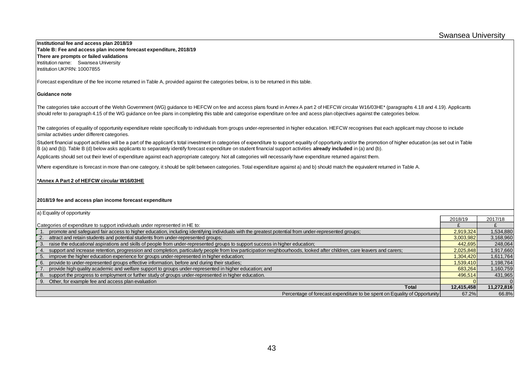**Institutional fee and access plan 2018/19 Table B: Fee and access plan income forecast expenditure, 2018/19 There are prompts or failed validations** Institution name: Swansea University Institution UKPRN: 10007855

Forecast expenditure of the fee income returned in Table A, provided against the categories below, is to be returned in this table.

#### **Guidance note**

The categories take account of the Welsh Government (WG) guidance to HEFCW on fee and access plans found in Annex A part 2 of HEFCW circular W16/03HE\* (paragraphs 4.18 and 4.19). Applicants should refer to paragraph 4.15 of the WG guidance on fee plans in completing this table and categorise expenditure on fee and acess plan objectives against the categories below.

The categories of equality of opportunity expenditure relate specifically to individuals from groups under-represented in higher education. HEFCW recognises that each applicant may choose to include similar activities under different categories.

Student financial support activities will be a part of the applicant's total investment in categories of expenditure to support equality of opportunity and/or the promotion of higher education (as set out in Table B (a) and (b)). Table B (d) below asks applicants to separately identify forecast expenditure on student financial support activities **already included** in (a) and (b).

Applicants should set out their level of expenditure against each appropriate category. Not all categories will necessarily have expenditure returned against them.

Where expenditure is forecast in more than one category, it should be split between categories. Total expenditure against a) and b) should match the equivalent returned in Table A.

#### **\*Annex A Part 2 of HEFCW circular W16/03HE**

#### **2018/19 fee and access plan income forecast expenditure**

| a) Equality of opportunity                                                                                                                                             |            |            |
|------------------------------------------------------------------------------------------------------------------------------------------------------------------------|------------|------------|
|                                                                                                                                                                        | 2018/19    | 2017/18    |
| Categories of expenditure to support individuals under represented in HE to:                                                                                           |            |            |
| promote and safeguard fair access to higher education, including identifying individuals with the greatest potential from under-represented groups;                    | 2,919,324  | 1,534,880  |
| attract and retain students and potential students from under-represented groups;<br>2.                                                                                | 3,003,982  | 3,168,960  |
| 3. raise the educational aspirations and skills of people from under-represented groups to support success in higher education;                                        | 442,695    | 248,064    |
| support and increase retention, progression and completion, particularly people from low participation neighbourhoods, looked after children, care leavers and carers; | 2,025,848  | 1,917,660  |
| 5. improve the higher education experience for groups under-represented in higher education;                                                                           | 1.304.420  | 1,611,764  |
| 6. provide to under-represented groups effective information, before and during their studies;                                                                         | 1,539,410  | 1,198,764  |
| provide high quality academic and welfare support to groups under-represented in higher education; and                                                                 | 683,264    | 1,160,759  |
| 8. support the progress to employment or further study of groups under-represented in higher education.                                                                | 496.514    | 431,965    |
| 9. Other, for example fee and access plan evaluation                                                                                                                   |            |            |
| <b>Total</b>                                                                                                                                                           | 12,415,458 | 11,272,816 |
| Percentage of forecast expenditure to be spent on Equality of Opportunity                                                                                              | 67.2%      | 66.8%      |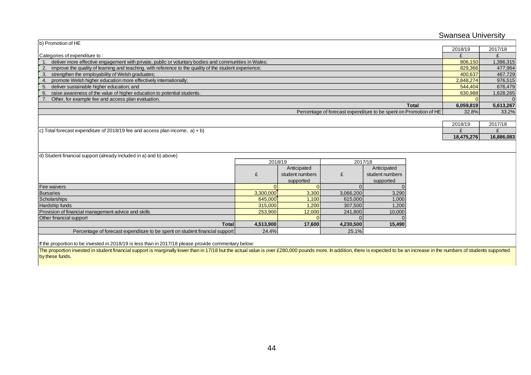|                                                                                                              |                    |                 |                    |                                                                   | <b>Swansea University</b> |            |
|--------------------------------------------------------------------------------------------------------------|--------------------|-----------------|--------------------|-------------------------------------------------------------------|---------------------------|------------|
| b) Promotion of HE                                                                                           |                    |                 |                    |                                                                   |                           |            |
|                                                                                                              |                    |                 |                    |                                                                   |                           |            |
| Categories of expenditure to:                                                                                |                    |                 |                    |                                                                   | £                         | £          |
| deliver more effective engagement with private, public or voluntary bodies and communities in Wales;         |                    |                 |                    |                                                                   | 806.150                   | 1,386,315  |
| improve the quality of learning and teaching, with reference to the quality of the student experience;<br>2. |                    |                 |                    |                                                                   | 829,366                   | 477,964    |
| 3. strengthen the employability of Welsh graduates;                                                          |                    |                 |                    |                                                                   | 400,637                   | 467,729    |
| promote Welsh higher education more effectively internationally;<br>4.                                       |                    |                 |                    |                                                                   | 2,848,274                 | 976,515    |
| deliver sustainable higher education; and<br>5.                                                              |                    |                 |                    |                                                                   | 544,404                   | 676,479    |
| raise awareness of the value of higher education to potential students.<br>6.                                |                    |                 |                    |                                                                   | 630,988                   | 1,628,265  |
| Other, for example fee and access plan evaluation.                                                           |                    |                 |                    |                                                                   |                           |            |
|                                                                                                              |                    |                 |                    | <b>Total</b>                                                      | 6,059,819                 | 5,613,267  |
|                                                                                                              |                    |                 |                    | Percentage of forecast expenditure to be spent on Promotion of HE | 32.8%                     | 33.2%      |
|                                                                                                              |                    |                 |                    |                                                                   |                           |            |
|                                                                                                              |                    |                 |                    |                                                                   | 2018/19                   | 2017/18    |
| c) Total forecast expenditure of 2018/19 fee and access plan income, $a$ ) + b)                              |                    |                 |                    |                                                                   | £                         | ¢          |
|                                                                                                              |                    |                 |                    |                                                                   | 18,475,276                | 16,886,083 |
|                                                                                                              |                    |                 |                    |                                                                   |                           |            |
|                                                                                                              |                    |                 |                    |                                                                   |                           |            |
| d) Student financial support (already included in a) and b) above)                                           |                    | 2018/19         | 2017/18            |                                                                   |                           |            |
|                                                                                                              |                    | Anticipated     |                    | Anticipated                                                       |                           |            |
|                                                                                                              | £                  | student numbers | £                  | student numbers                                                   |                           |            |
|                                                                                                              |                    | supported       |                    |                                                                   |                           |            |
| <b>Fee waivers</b>                                                                                           |                    |                 |                    | supported                                                         |                           |            |
| <b>Bursaries</b>                                                                                             | 3,300,000          | 3,300           | 3,066,200          | 3,290                                                             |                           |            |
| Scholarships                                                                                                 | 645,000            | 1,100           | 615,000            | 1,000                                                             |                           |            |
| <b>Hardship funds</b>                                                                                        | 315,000            | 1,200           | 307,500            | 1,200                                                             |                           |            |
| Provision of financial management advice and skills                                                          |                    |                 |                    |                                                                   |                           |            |
| Other financial support                                                                                      |                    |                 |                    |                                                                   |                           |            |
| <b>Total</b>                                                                                                 |                    |                 |                    |                                                                   |                           |            |
| Percentage of forecast expenditure to be spent on student financial support                                  | 4,513,900<br>24.4% | 17,600          | 4,230,500<br>25.1% | 15,490                                                            |                           |            |
|                                                                                                              |                    |                 |                    |                                                                   |                           |            |
| If the proportion to be invested in 2018/19 is less than in 2017/18 please provide commentary below:         |                    |                 |                    |                                                                   |                           |            |

The proportion invested in student financial support is marginally lower than in 17/18 but the actual value is over £280,000 pounds more. In addition, there is expected to be an increase in the numbers of students supporte by these funds.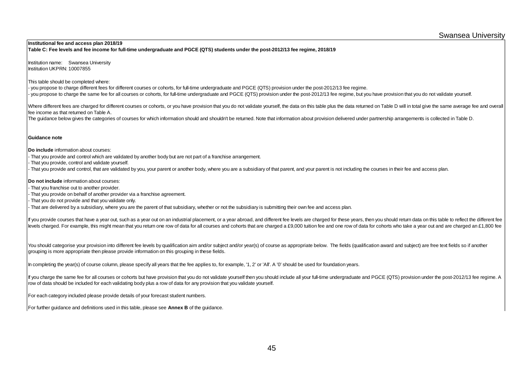#### Swansea University

#### **Institutional fee and access plan 2018/19 Table C: Fee levels and fee income for full-time undergraduate and PGCE (QTS) students under the post-2012/13 fee regime, 2018/19**

Institution name: Swansea University Institution UKPRN: 10007855

This table should be completed where:

- you propose to charge different fees for different courses or cohorts, for full-time undergraduate and PGCE (QTS) provision under the post-2012/13 fee regime. - you propose to charge the same fee for all courses or cohorts, for full-time undergraduate and PGCE (QTS) provision under the post-2012/13 fee regime, but you have provision that you do not validate yourself.

Where different fees are charged for different courses or cohorts, or you have provision that you do not validate yourself, the data on this table plus the data returned on Table D will in total give the same average fee a fee income as that returned on Table A.

The guidance below gives the categories of courses for which information should and shouldn't be returned. Note that information about provision delivered under partnership arrangements is collected in Table D.

#### **Guidance note**

**Do include** information about courses:

- That you provide and control which are validated by another body but are not part of a franchise arrangement.
- That you provide, control and validate yourself.
- That you provide and control, that are validated by you, your parent or another body, where you are a subsidiary of that parent, and your parent is not including the courses in their fee and access plan.

**Do not include** information about courses:

- That you franchise out to another provider.
- That you provide on behalf of another provider via a franchise agreement.
- That you do not provide and that you validate only.
- That are delivered by a subsidiary, where you are the parent of that subsidiary, whether or not the subsidiary is submitting their own fee and access plan.

If you provide courses that have a year out, such as a year out on an industrial placement, or a year abroad, and different fee levels are charged for these years, then you should return data on this table to reflect the d levels charged. For example, this might mean that you return one row of data for all courses and cohorts that are charged a £9,000 tuition fee and one row of data for cohorts who take a year out and are charged an £1,800

You should categorise your provision into different fee levels by qualification aim and/or subject and/or year(s) of course as appropriate below. The fields (qualification award and subject) are free text fields so if anot grouping is more appropriate then please provide information on this grouping in these fields.

In completing the year(s) of course column, please specify all years that the fee applies to, for example, '1, 2' or 'All'. A '0' should be used for foundation years.

If you charge the same fee for all courses or cohorts but have provision that you do not validate yourself then you should include all your full-time undergraduate and PGCE (QTS) provision under the post-2012/13 fee regime row of data should be included for each validating body plus a row of data for any provision that you validate yourself.

For each category included please provide details of your forecast student numbers.

For further guidance and definitions used in this table, please see **Annex B** of the guidance.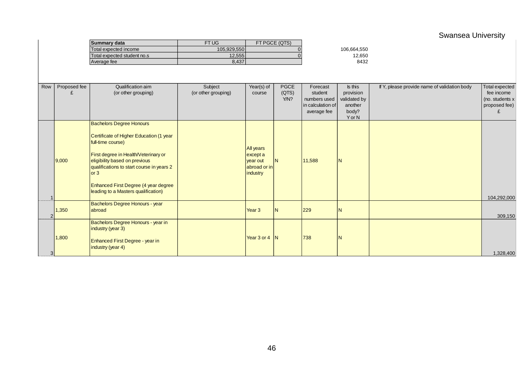## Swansea University

|                |              | <b>Summary data</b>                                                                                                                                                                                                                                                                           | FT UG               |                                                               | FT PGCE (QTS) |                   |              |                                              |                 |
|----------------|--------------|-----------------------------------------------------------------------------------------------------------------------------------------------------------------------------------------------------------------------------------------------------------------------------------------------|---------------------|---------------------------------------------------------------|---------------|-------------------|--------------|----------------------------------------------|-----------------|
|                |              | Total expected income                                                                                                                                                                                                                                                                         | 105,929,550         |                                                               |               |                   | 106,664,550  |                                              |                 |
|                |              | Total expected student no.s                                                                                                                                                                                                                                                                   | 12,555              |                                                               |               |                   | 12,650       |                                              |                 |
|                |              | Average fee                                                                                                                                                                                                                                                                                   | 8,437               |                                                               |               |                   | 8432         |                                              |                 |
|                |              |                                                                                                                                                                                                                                                                                               |                     |                                                               |               |                   |              |                                              |                 |
| Row            | Proposed fee | Qualification aim                                                                                                                                                                                                                                                                             | Subject             | Year(s) of                                                    | <b>PGCE</b>   | Forecast          | Is this      | If Y, please provide name of validation body | Total expected  |
|                | £            | (or other grouping)                                                                                                                                                                                                                                                                           | (or other grouping) | course                                                        | (QTS)         | student           | provision    |                                              | fee income      |
|                |              |                                                                                                                                                                                                                                                                                               |                     |                                                               | Y/N?          | numbers used      | validated by |                                              | (no. students x |
|                |              |                                                                                                                                                                                                                                                                                               |                     |                                                               |               | in calculation of | another      |                                              | proposed fee)   |
|                |              |                                                                                                                                                                                                                                                                                               |                     |                                                               |               | average fee       | body?        |                                              |                 |
|                |              | <b>Bachelors Degree Honours</b>                                                                                                                                                                                                                                                               |                     |                                                               |               |                   | Y or N       |                                              |                 |
|                | 9,000        | Certificate of Higher Education (1 year<br>full-time course)<br>First degree in Health/Veterinary or<br>eligibility based on previous<br>qualifications to start course in years 2<br>$\overline{\text{or }3}$<br>Enhanced First Degree (4 year degree<br>leading to a Masters qualification) |                     | All years<br>except a<br>year out<br>abroad or in<br>industry | IN.           | 11,588            | IN           |                                              | 104,292,000     |
|                | 1,350        | Bachelors Degree Honours - year<br>abroad                                                                                                                                                                                                                                                     |                     | Year <sub>3</sub>                                             | N             | 229               | IN           |                                              | 309,150         |
| 3 <sup>1</sup> | 1,800        | Bachelors Degree Honours - year in<br>industry (year 3)<br>Enhanced First Degree - year in<br>industry (year 4)                                                                                                                                                                               |                     | Year 3 or 4                                                   | $\mathsf{N}$  | 738               | IN           |                                              | 1,328,400       |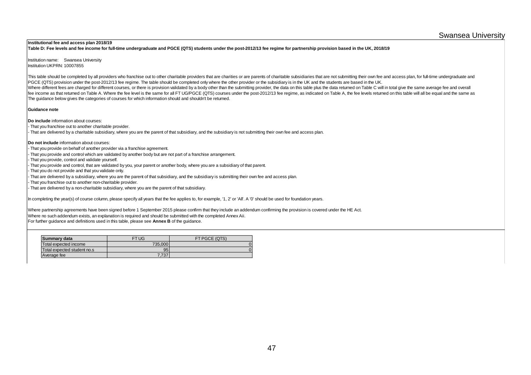#### **Institutional fee and access plan 2018/19**

**Table D: Fee levels and fee income for full-time undergraduate and PGCE (QTS) students under the post-2012/13 fee regime for partnership provision based in the UK, 2018/19**

Institution name: Swansea University Institution UKPRN: 10007855

The guidance below gives the categories of courses for which information should and shouldn't be returned. This table should be completed by all providers who franchise out to other charitable providers that are charities or are parents of charitable subsidiaries that are not submitting their own fee and access plan, for full-t PGCE (QTS) provision under the post-2012/13 fee regime. The table should be completed only where the other provider or the subsidiary is in the UK and the students are based in the UK. Where different fees are charged for different courses, or there is provision validated by a body other than the submitting provider, the data on this table plus the data returned on Table C will in total give the same ave fee income as that returned on Table A. Where the fee level is the same for all FT UG/PGCE (QTS) courses under the post-2012/13 fee regime, as indicated on Table A, the fee levels returned on this table will all be equal a

#### **Guidance note**

**Do include** information about courses:

- That you franchise out to another charitable provider.
- That are delivered by a charitable subsidiary, where you are the parent of that subsidiary, and the subsidiary is not submitting their own fee and access plan.

#### **Do not include** information about courses:

- That you provide on behalf of another provider via a franchise agreement.

- That you provide and control which are validated by another body but are not part of a franchise arrangement.
- That you provide, control and validate yourself.
- That you provide and control, that are validated by you, your parent or another body, where you are a subsidiary of that parent.
- That you do not provide and that you validate only.
- That are delivered by a subsidiary, where you are the parent of that subsidiary, and the subsidiary is submitting their own fee and access plan.
- That you franchise out to another non-charitable provider.
- That are delivered by a non-charitable subsidiary, where you are the parent of that subsidiary.

In completing the year(s) of course column, please specify all years that the fee applies to, for example, '1, 2' or 'All'. A '0' should be used for foundation years.

Where partnership agreements have been signed before 1 September 2015 please confirm that they include an addendum confirming the provision is covered under the HE Act. Where no such addendum exists, an explanation is required and should be submitted with the completed Annex Aii. For further guidance and definitions used in this table, please see **Annex B** of the guidance.

| Summary data                | FT UG   | FT PGCE (QTS) |
|-----------------------------|---------|---------------|
| Total expected income       | 735,000 |               |
| Total expected student no.s | 95      |               |
| Average fee                 | 7.737   |               |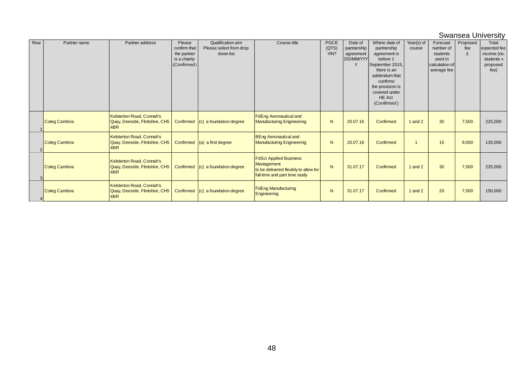#### Swansea University

| Row | Partner name         | Partner address                                                    | Please<br>confirm that<br>the partner<br>is a charity<br>(Confirmed) | Qualification aim<br>Please select from drop<br>down list | Course title                                                                                                          | <b>PGCE</b><br>(QTS)<br>Y/N? | Date of<br>partnership<br>agreement<br>DD/MM/YYY<br>Y | Where date of<br>partnership<br>agreement is<br>before 1<br>September 2015,<br>there is an<br>addendum that<br>confirms<br>the provision is<br>covered under<br><b>HE Act</b><br>(Confirmed) | Year(s) of<br>course | Forecast<br>number of<br>students<br>used in<br>calculation of<br>average fee | Proposed<br>fee<br>£ | Total<br>expected fee<br>income (no.<br>students x<br>proposed<br>fee) |
|-----|----------------------|--------------------------------------------------------------------|----------------------------------------------------------------------|-----------------------------------------------------------|-----------------------------------------------------------------------------------------------------------------------|------------------------------|-------------------------------------------------------|----------------------------------------------------------------------------------------------------------------------------------------------------------------------------------------------|----------------------|-------------------------------------------------------------------------------|----------------------|------------------------------------------------------------------------|
|     | Coleg Cambria        | Kelsterton Road, Connah's<br>Quay, Deeside, Flintshire, CH5<br>4BR | Confirmed                                                            | (c) a foundation degree                                   | <b>FdEng Aeronautical and</b><br><b>Manufacturing Engineering</b>                                                     | N                            | 20.07.16                                              | Confirmed                                                                                                                                                                                    | 1 and $2$            | 30                                                                            | 7,500                | 225,000                                                                |
|     | Coleg Cambria        | Kelsterton Road, Connah's<br>Quay, Deeside, Flintshire, CH5<br>4BR |                                                                      | Confirmed $(a)$ a first degree                            | <b>BEng Aeronautical and</b><br><b>Manufacturing Engineering</b>                                                      | N                            | 20.07.16                                              | Confirmed                                                                                                                                                                                    |                      | 15                                                                            | 9,000                | 135,000                                                                |
| 3   | <b>Coleg Cambria</b> | Kelsterton Road, Connah's<br>Quay, Deeside, Flintshire, CH5<br>4BR | Confirmed                                                            | (c) a foundation degree                                   | <b>FdSci Applied Business</b><br>Management<br>to be delivered flexibly to allow for<br>full-time and part time study | $\mathsf{N}$                 | 31.07.17                                              | Confirmed                                                                                                                                                                                    | 1 and $2$            | 30                                                                            | 7,500                | 225,000                                                                |
|     | Coleg Cambria        | Kelsterton Road, Connah's<br>Quay, Deeside, Flintshire, CH5<br>4BR | Confirmed                                                            | $(c)$ a foundation degree                                 | <b>FdEng Manufacturing</b><br>Engineering                                                                             | N                            | 31.07.17                                              | Confirmed                                                                                                                                                                                    | 1 and $2$            | 20                                                                            | 7,500                | 150,000                                                                |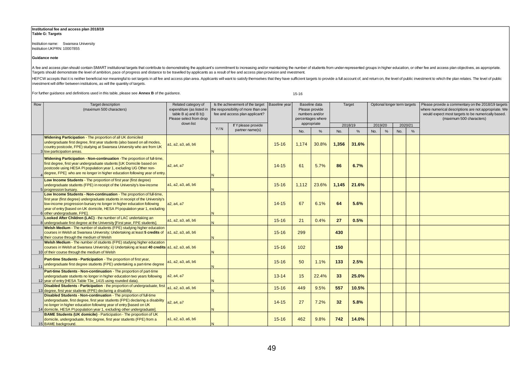#### **Institutional fee and access plan 2018/19 Table G: Targets**

Institution name: Swansea University Institution UKPRN: 10007855

#### **Guidance note**

A fee and access plan should contain SMART institutional targets that contribute to demonstrating the applicant's commitment to increasing and/or maintaining the number of students from under-represented groups in higher e

HEFCW accepts that it is neither beneficial nor meaningful to set targets in all fee and access plan area. Applicants will want to satisfy themselves that they have sufficient targets to provide a full account of, and retu investment will differ between institutions, as will the quantity of targets.

For further guidance and definitions used in this table, please see **Annex B** of the guidance. 15-16

| Row | Target description<br>(maximum 500 characters)                                                                                                                                                                                                                                                                                                  | Related category of<br>expenditure (as listed in<br>table $B$ a) and $B$ b))<br>Please select from drop |   | Is the achievement of the target<br>the responsibility of more than one<br>fee and access plan applicant? | Baseline year           | Baseline data<br>Please provide<br>numbers and/or<br>percentages where |                     |       | Target              |  |                     | Optional longer term targets |  | Please provide a commentary on the 2018/19 targets<br>where numerical descriptions are not appropriate. We<br>would expect most targets to be numerically based.<br>(maximum 500 characters) |  |  |
|-----|-------------------------------------------------------------------------------------------------------------------------------------------------------------------------------------------------------------------------------------------------------------------------------------------------------------------------------------------------|---------------------------------------------------------------------------------------------------------|---|-----------------------------------------------------------------------------------------------------------|-------------------------|------------------------------------------------------------------------|---------------------|-------|---------------------|--|---------------------|------------------------------|--|----------------------------------------------------------------------------------------------------------------------------------------------------------------------------------------------|--|--|
|     |                                                                                                                                                                                                                                                                                                                                                 | down list<br>If Y please provide<br>Y/N<br>partner name(s)                                              |   |                                                                                                           | appropriate<br>%<br>No. |                                                                        | 2018/19<br>%<br>No. |       | 2019/20<br>No.<br>% |  | 2020/21<br>No.<br>% |                              |  |                                                                                                                                                                                              |  |  |
|     | Widening Participation - The proportion of all UK domiciled<br>undergraduate first degree, first year students (also based on all modes,<br>country postcode, FPE) studying at Swansea University who are from UK<br>3 low participation areas.                                                                                                 | a1, a2, a3, a6, b6                                                                                      | N |                                                                                                           | $15 - 16$               | 1,174                                                                  | 30.8%               | 1.356 | 31.6%               |  |                     |                              |  |                                                                                                                                                                                              |  |  |
|     | Widening Participation - Non-continuation - The proportion of full-time,<br>first degree, first year undergraduate students [UK Domicile based on<br>postcode using HESA PI population year 1, excluding UG Other non-<br>degree, FPE] who are no longer in higher education following year of entry.                                           | a2. a4. a7                                                                                              | N |                                                                                                           | $14 - 15$               | 61                                                                     | 5.7%                | 86    | 6.7%                |  |                     |                              |  |                                                                                                                                                                                              |  |  |
|     | Low Income Students - The proportion of first year (first degree)<br>undergraduate students (FPE) in receipt of the University's low-income<br>5 progression bursary.                                                                                                                                                                           | a1, a2, a3, a6, b6                                                                                      | N |                                                                                                           | $15 - 16$               | 1,112                                                                  | 23.6%               | 1,145 | 21.6%               |  |                     |                              |  |                                                                                                                                                                                              |  |  |
|     | Low Income Students - Non-continuation - The proportion of full-time,<br>first year (first degree) undergraduate students in receipt of the University's<br>low-income progression bursary no longer in higher education following<br>year of entry [based on UK domicile, HESA PI population year 1, excluding<br>6 other undergraduate, FPE]. | a2, a4, a7                                                                                              | N |                                                                                                           | $14 - 15$               | 67                                                                     | 6.1%                | 64    | 5.6%                |  |                     |                              |  |                                                                                                                                                                                              |  |  |
|     | Looked After Children (LAC) - the number of LAC undertaking an<br>8 undergraduate first degree at the University [First year, FPE students].                                                                                                                                                                                                    | a1, a2, a3, a6, b6                                                                                      | N |                                                                                                           | $15 - 16$               | 21                                                                     | 0.4%                | 27    | 0.5%                |  |                     |                              |  |                                                                                                                                                                                              |  |  |
|     | <b>Welsh Medium</b> - The number of students (FPE) studying higher education<br>courses in Welsh at Swansea University; Undertaking at least 5 credits of<br>9 their course through the medium of Welsh                                                                                                                                         | a1, a2, a3, a6, b6                                                                                      | N |                                                                                                           | $15 - 16$               | 299                                                                    |                     | 430   |                     |  |                     |                              |  |                                                                                                                                                                                              |  |  |
|     | Welsh Medium - The number of students (FPE) studying higher education<br>courses in Welsh at Swansea University; ii) Undertaking at least 40 credits a1, a2, a3, a6, b6<br>10 of their course through the medium of Welsh                                                                                                                       |                                                                                                         | N |                                                                                                           | $15 - 16$               | 102                                                                    |                     | 150   |                     |  |                     |                              |  |                                                                                                                                                                                              |  |  |
|     | Part-time Students - Participation - The proportion of first year,<br>undergraduate first degree students (FPE) undertaking a part-time degree                                                                                                                                                                                                  | a1, a2, a3, a6, b6                                                                                      | N |                                                                                                           | $15 - 16$               | 50                                                                     | 1.1%                | 133   | 2.5%                |  |                     |                              |  |                                                                                                                                                                                              |  |  |
|     | Part-time Students - Non-continuation - The proportion of part-time<br>undergraduate students no longer in higher education two years following<br>12 year of entry [HESA Table T3e 1415 using rounded data).                                                                                                                                   | a2, a4, a7                                                                                              | N |                                                                                                           | $13 - 14$               | 15                                                                     | 22.4%               | 33    | 25.0%               |  |                     |                              |  |                                                                                                                                                                                              |  |  |
|     | Disabled Students - Participation - the proportion of undergraduate, first<br>13 degree, first year students (FPE) declaring a disability.                                                                                                                                                                                                      | a1, a2, a3, a6, b6                                                                                      | N |                                                                                                           | $15 - 16$               | 449                                                                    | 9.5%                | 557   | 10.5%               |  |                     |                              |  |                                                                                                                                                                                              |  |  |
|     | Disabled Students - Non-continuation - The proportion of full-time<br>undergraduate, first degree, first year students (FPE) declaring a disability<br>no longer in higher education following year of entry [based on UK<br>14 domicile, HESA PI population year 1, excluding other undergraduate].                                            | a2, a4, a7                                                                                              | N |                                                                                                           | $14 - 15$               | 27                                                                     | 7.2%                | 32    | 5.8%                |  |                     |                              |  |                                                                                                                                                                                              |  |  |
|     | <b>BAME Students (UK domicile)</b> - Participation - The proportion of UK<br>domicile, undergraduate, first degree, first year students (FPE) from a<br>15 BAME background.                                                                                                                                                                     | a1, a2, a3, a6, b6                                                                                      | N |                                                                                                           | $15 - 16$               | 462                                                                    | 9.8%                | 742   | 14.0%               |  |                     |                              |  |                                                                                                                                                                                              |  |  |